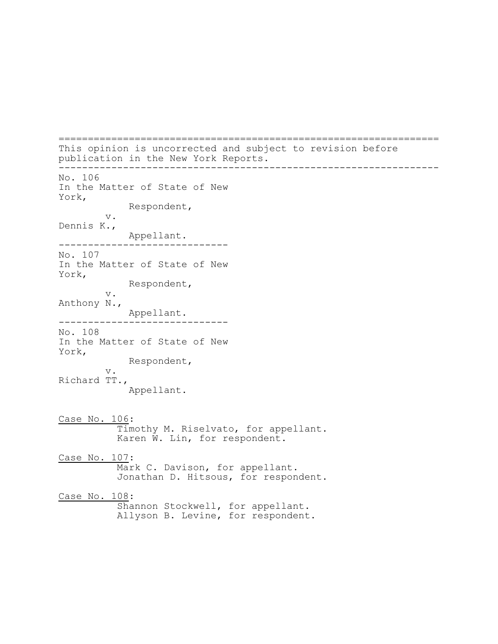================================================================= This opinion is uncorrected and subject to revision before publication in the New York Reports. ----------------------------------------------------------------- No. 106 In the Matter of State of New York, Respondent, v. Dennis K., Appellant. ----------------------------- No. 107 In the Matter of State of New York, Respondent, v. Anthony N., Appellant. ----------------------------- No. 108 In the Matter of State of New York, Respondent, v. Richard TT., Appellant. Case No. 106: Timothy M. Riselvato, for appellant. Karen W. Lin, for respondent. Case No. 107: Mark C. Davison, for appellant. Jonathan D. Hitsous, for respondent. Case No. 108: Shannon Stockwell, for appellant. Allyson B. Levine, for respondent.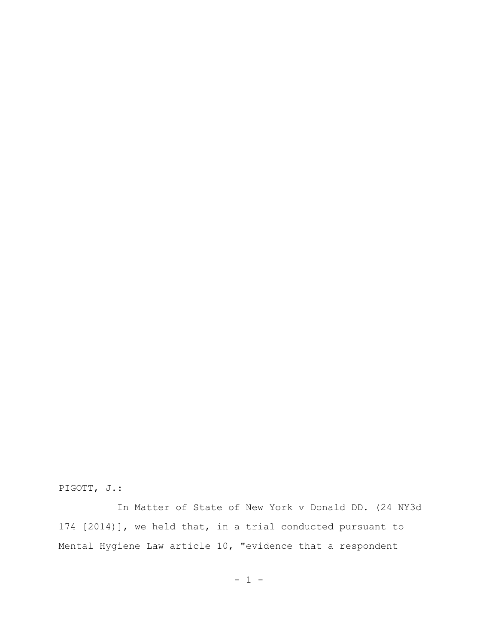PIGOTT, J.:

In Matter of State of New York v Donald DD. (24 NY3d 174 [2014)], we held that, in a trial conducted pursuant to Mental Hygiene Law article 10, "evidence that a respondent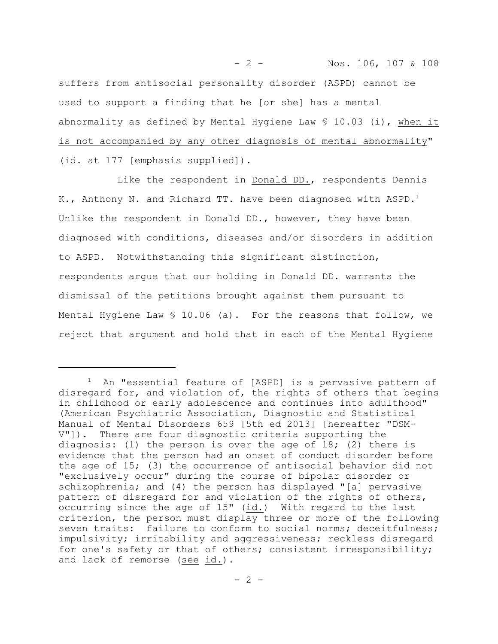- 2 - Nos. 106, 107 & 108 suffers from antisocial personality disorder (ASPD) cannot be used to support a finding that he [or she] has a mental abnormality as defined by Mental Hygiene Law  $$10.03$  (i), when it is not accompanied by any other diagnosis of mental abnormality" (id. at 177 [emphasis supplied]).

Like the respondent in Donald DD., respondents Dennis K., Anthony N. and Richard TT. have been diagnosed with ASPD.<sup>1</sup> Unlike the respondent in Donald DD., however, they have been diagnosed with conditions, diseases and/or disorders in addition to ASPD. Notwithstanding this significant distinction, respondents argue that our holding in Donald DD. warrants the dismissal of the petitions brought against them pursuant to Mental Hygiene Law  $$ 10.06$  (a). For the reasons that follow, we reject that argument and hold that in each of the Mental Hygiene

An "essential feature of [ASPD] is a pervasive pattern of disregard for, and violation of, the rights of others that begins in childhood or early adolescence and continues into adulthood" (American Psychiatric Association, Diagnostic and Statistical Manual of Mental Disorders 659 [5th ed 2013] [hereafter "DSM-V"]). There are four diagnostic criteria supporting the diagnosis: (1) the person is over the age of  $18$ ; (2) there is evidence that the person had an onset of conduct disorder before the age of 15; (3) the occurrence of antisocial behavior did not "exclusively occur" during the course of bipolar disorder or schizophrenia; and (4) the person has displayed "[a] pervasive pattern of disregard for and violation of the rights of others, occurring since the age of 15" (id.) With regard to the last criterion, the person must display three or more of the following seven traits: failure to conform to social norms; deceitfulness; impulsivity; irritability and aggressiveness; reckless disregard for one's safety or that of others; consistent irresponsibility; and lack of remorse (see id.).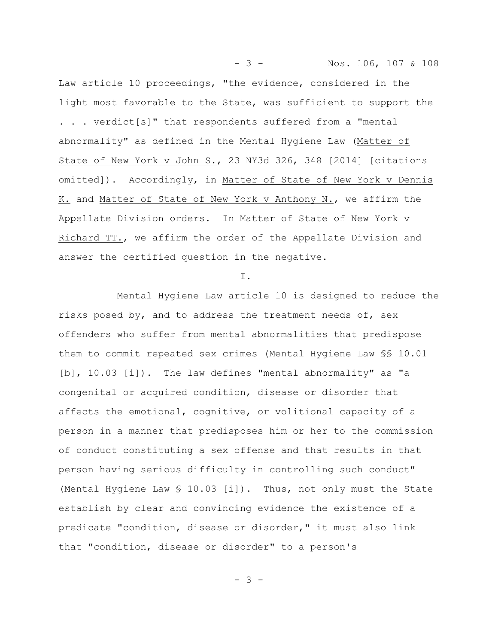Law article 10 proceedings, "the evidence, considered in the light most favorable to the State, was sufficient to support the . . . verdict[s]" that respondents suffered from a "mental abnormality" as defined in the Mental Hygiene Law (Matter of State of New York v John S., 23 NY3d 326, 348 [2014] [citations omitted]). Accordingly, in Matter of State of New York v Dennis K. and Matter of State of New York v Anthony N., we affirm the Appellate Division orders. In Matter of State of New York v Richard TT., we affirm the order of the Appellate Division and answer the certified question in the negative.

- 3 - Nos. 106, 107 & 108

I.

Mental Hygiene Law article 10 is designed to reduce the risks posed by, and to address the treatment needs of, sex offenders who suffer from mental abnormalities that predispose them to commit repeated sex crimes (Mental Hygiene Law §§ 10.01 [b], 10.03 [i]). The law defines "mental abnormality" as "a congenital or acquired condition, disease or disorder that affects the emotional, cognitive, or volitional capacity of a person in a manner that predisposes him or her to the commission of conduct constituting a sex offense and that results in that person having serious difficulty in controlling such conduct" (Mental Hygiene Law § 10.03 [i]). Thus, not only must the State establish by clear and convincing evidence the existence of a predicate "condition, disease or disorder," it must also link that "condition, disease or disorder" to a person's

- 3 -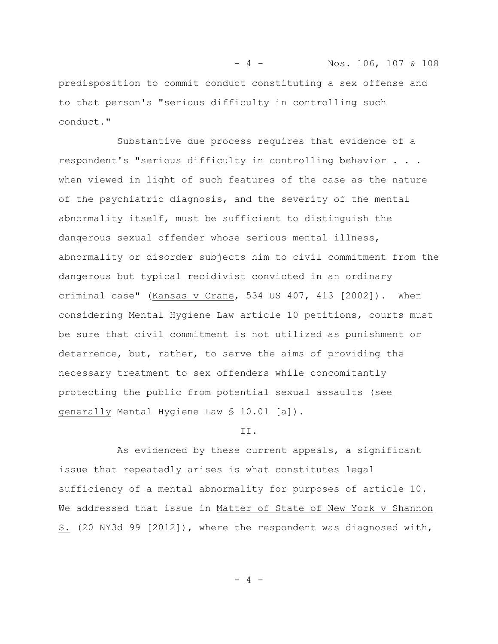- 4 - Nos. 106, 107 & 108 predisposition to commit conduct constituting a sex offense and to that person's "serious difficulty in controlling such conduct."

Substantive due process requires that evidence of a respondent's "serious difficulty in controlling behavior . . . when viewed in light of such features of the case as the nature of the psychiatric diagnosis, and the severity of the mental abnormality itself, must be sufficient to distinguish the dangerous sexual offender whose serious mental illness, abnormality or disorder subjects him to civil commitment from the dangerous but typical recidivist convicted in an ordinary criminal case" (Kansas v Crane, 534 US 407, 413 [2002]). When considering Mental Hygiene Law article 10 petitions, courts must be sure that civil commitment is not utilized as punishment or deterrence, but, rather, to serve the aims of providing the necessary treatment to sex offenders while concomitantly protecting the public from potential sexual assaults (see generally Mental Hygiene Law § 10.01 [a]).

## II.

As evidenced by these current appeals, a significant issue that repeatedly arises is what constitutes legal sufficiency of a mental abnormality for purposes of article 10. We addressed that issue in Matter of State of New York v Shannon S. (20 NY3d 99 [2012]), where the respondent was diagnosed with,

 $-4 -$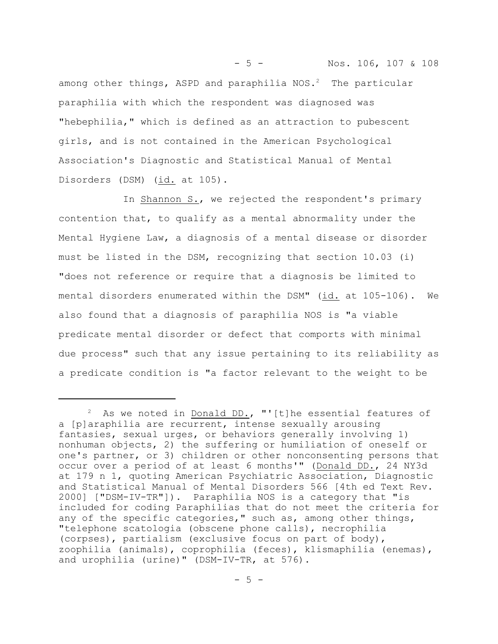among other things, ASPD and paraphilia  $NOS.^2$  The particular paraphilia with which the respondent was diagnosed was "hebephilia," which is defined as an attraction to pubescent girls, and is not contained in the American Psychological Association's Diagnostic and Statistical Manual of Mental Disorders (DSM) (id. at 105).

- 5 - Nos. 106, 107 & 108

 In Shannon S., we rejected the respondent's primary contention that, to qualify as a mental abnormality under the Mental Hygiene Law, a diagnosis of a mental disease or disorder must be listed in the DSM, recognizing that section 10.03 (i) "does not reference or require that a diagnosis be limited to mental disorders enumerated within the DSM" (id. at 105-106). We also found that a diagnosis of paraphilia NOS is "a viable predicate mental disorder or defect that comports with minimal due process" such that any issue pertaining to its reliability as a predicate condition is "a factor relevant to the weight to be

<sup>&</sup>lt;sup>2</sup> As we noted in Donald DD., "'[t]he essential features of a [p]araphilia are recurrent, intense sexually arousing fantasies, sexual urges, or behaviors generally involving 1) nonhuman objects, 2) the suffering or humiliation of oneself or one's partner, or 3) children or other nonconsenting persons that occur over a period of at least 6 months'" (Donald DD., 24 NY3d at 179 n 1, quoting American Psychiatric Association, Diagnostic and Statistical Manual of Mental Disorders 566 [4th ed Text Rev. 2000] ["DSM-IV-TR"]). Paraphilia NOS is a category that "is included for coding Paraphilias that do not meet the criteria for any of the specific categories," such as, among other things, "telephone scatologia (obscene phone calls), necrophilia (corpses), partialism (exclusive focus on part of body), zoophilia (animals), coprophilia (feces), klismaphilia (enemas), and urophilia (urine)" (DSM-IV-TR, at 576).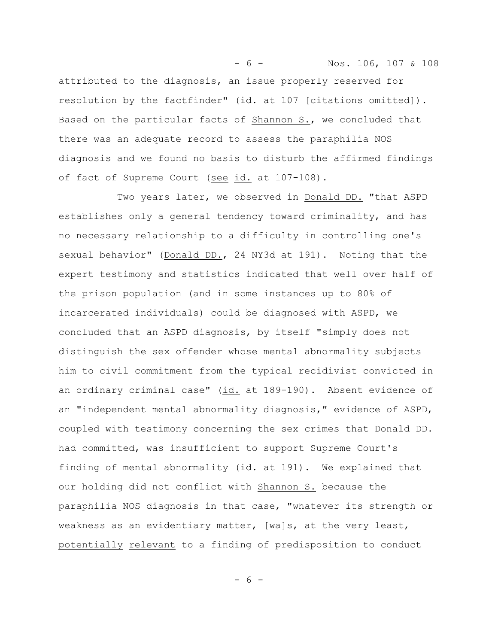- 6 - Nos. 106, 107 & 108 attributed to the diagnosis, an issue properly reserved for resolution by the factfinder" (id. at 107 [citations omitted]). Based on the particular facts of Shannon S., we concluded that there was an adequate record to assess the paraphilia NOS diagnosis and we found no basis to disturb the affirmed findings of fact of Supreme Court (see id. at 107-108).

Two years later, we observed in Donald DD. "that ASPD establishes only a general tendency toward criminality, and has no necessary relationship to a difficulty in controlling one's sexual behavior" (Donald DD., 24 NY3d at 191). Noting that the expert testimony and statistics indicated that well over half of the prison population (and in some instances up to 80% of incarcerated individuals) could be diagnosed with ASPD, we concluded that an ASPD diagnosis, by itself "simply does not distinguish the sex offender whose mental abnormality subjects him to civil commitment from the typical recidivist convicted in an ordinary criminal case" (id. at 189-190). Absent evidence of an "independent mental abnormality diagnosis," evidence of ASPD, coupled with testimony concerning the sex crimes that Donald DD. had committed, was insufficient to support Supreme Court's finding of mental abnormality (id. at 191). We explained that our holding did not conflict with Shannon S. because the paraphilia NOS diagnosis in that case, "whatever its strength or weakness as an evidentiary matter, [wa]s, at the very least, potentially relevant to a finding of predisposition to conduct

- 6 -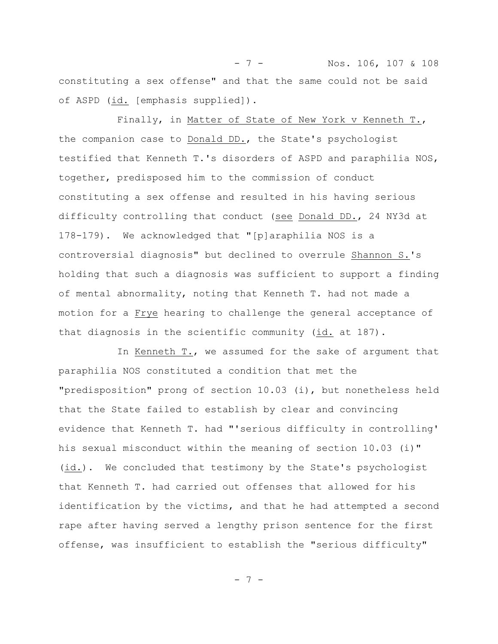- 7 - Nos. 106, 107 & 108 constituting a sex offense" and that the same could not be said of ASPD (id. [emphasis supplied]).

Finally, in Matter of State of New York v Kenneth T., the companion case to Donald DD., the State's psychologist testified that Kenneth T.'s disorders of ASPD and paraphilia NOS, together, predisposed him to the commission of conduct constituting a sex offense and resulted in his having serious difficulty controlling that conduct (see Donald DD., 24 NY3d at 178-179). We acknowledged that "[p]araphilia NOS is a controversial diagnosis" but declined to overrule Shannon S.'s holding that such a diagnosis was sufficient to support a finding of mental abnormality, noting that Kenneth T. had not made a motion for a Frye hearing to challenge the general acceptance of that diagnosis in the scientific community (id. at 187).

In Kenneth T., we assumed for the sake of argument that paraphilia NOS constituted a condition that met the "predisposition" prong of section 10.03 (i), but nonetheless held that the State failed to establish by clear and convincing evidence that Kenneth T. had "'serious difficulty in controlling' his sexual misconduct within the meaning of section 10.03 (i)" (id.). We concluded that testimony by the State's psychologist that Kenneth T. had carried out offenses that allowed for his identification by the victims, and that he had attempted a second rape after having served a lengthy prison sentence for the first offense, was insufficient to establish the "serious difficulty"

- 7 -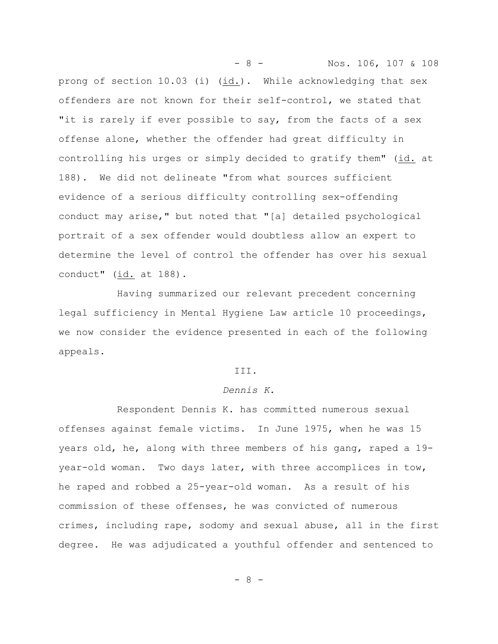- 8 - Nos. 106, 107 & 108 prong of section 10.03 (i) (id.). While acknowledging that sex offenders are not known for their self-control, we stated that "it is rarely if ever possible to say, from the facts of a sex offense alone, whether the offender had great difficulty in controlling his urges or simply decided to gratify them" (id. at 188). We did not delineate "from what sources sufficient evidence of a serious difficulty controlling sex-offending conduct may arise," but noted that "[a] detailed psychological portrait of a sex offender would doubtless allow an expert to determine the level of control the offender has over his sexual conduct"  $(id. at 188)$ .

Having summarized our relevant precedent concerning legal sufficiency in Mental Hygiene Law article 10 proceedings, we now consider the evidence presented in each of the following appeals.

#### III.

## *Dennis K.*

Respondent Dennis K. has committed numerous sexual offenses against female victims. In June 1975, when he was 15 years old, he, along with three members of his gang, raped a 19 year-old woman. Two days later, with three accomplices in tow, he raped and robbed a 25-year-old woman. As a result of his commission of these offenses, he was convicted of numerous crimes, including rape, sodomy and sexual abuse, all in the first degree. He was adjudicated a youthful offender and sentenced to

- 8 -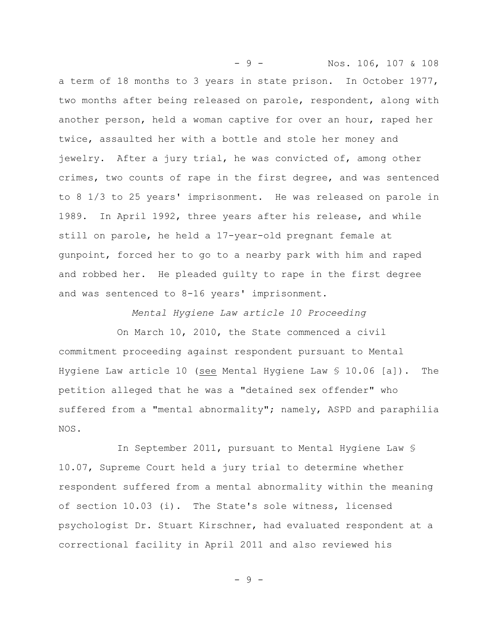- 9 - Nos. 106, 107 & 108 a term of 18 months to 3 years in state prison. In October 1977, two months after being released on parole, respondent, along with another person, held a woman captive for over an hour, raped her twice, assaulted her with a bottle and stole her money and jewelry. After a jury trial, he was convicted of, among other crimes, two counts of rape in the first degree, and was sentenced to 8 1/3 to 25 years' imprisonment. He was released on parole in 1989. In April 1992, three years after his release, and while still on parole, he held a 17-year-old pregnant female at gunpoint, forced her to go to a nearby park with him and raped and robbed her. He pleaded guilty to rape in the first degree and was sentenced to 8-16 years' imprisonment.

*Mental Hygiene Law article 10 Proceeding*

On March 10, 2010, the State commenced a civil commitment proceeding against respondent pursuant to Mental Hygiene Law article 10 (see Mental Hygiene Law § 10.06 [a]). The petition alleged that he was a "detained sex offender" who suffered from a "mental abnormality"; namely, ASPD and paraphilia NOS.

In September 2011, pursuant to Mental Hygiene Law § 10.07, Supreme Court held a jury trial to determine whether respondent suffered from a mental abnormality within the meaning of section 10.03 (i). The State's sole witness, licensed psychologist Dr. Stuart Kirschner, had evaluated respondent at a correctional facility in April 2011 and also reviewed his

- 9 -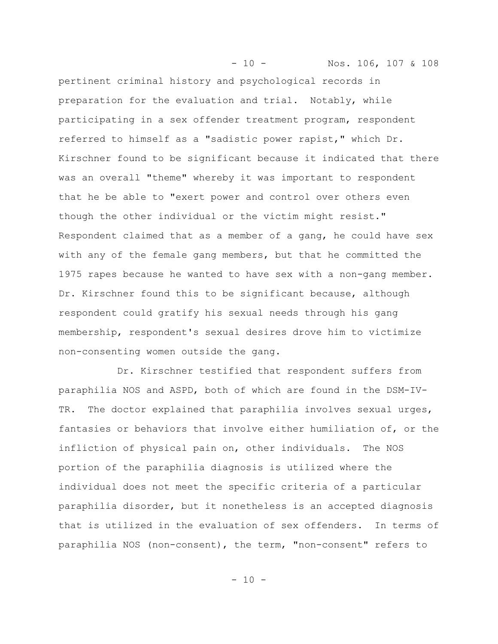- 10 - Nos. 106, 107 & 108 pertinent criminal history and psychological records in preparation for the evaluation and trial. Notably, while participating in a sex offender treatment program, respondent referred to himself as a "sadistic power rapist," which Dr. Kirschner found to be significant because it indicated that there was an overall "theme" whereby it was important to respondent that he be able to "exert power and control over others even though the other individual or the victim might resist." Respondent claimed that as a member of a gang, he could have sex with any of the female gang members, but that he committed the 1975 rapes because he wanted to have sex with a non-gang member. Dr. Kirschner found this to be significant because, although respondent could gratify his sexual needs through his gang membership, respondent's sexual desires drove him to victimize non-consenting women outside the gang.

Dr. Kirschner testified that respondent suffers from paraphilia NOS and ASPD, both of which are found in the DSM-IV-TR. The doctor explained that paraphilia involves sexual urges, fantasies or behaviors that involve either humiliation of, or the infliction of physical pain on, other individuals. The NOS portion of the paraphilia diagnosis is utilized where the individual does not meet the specific criteria of a particular paraphilia disorder, but it nonetheless is an accepted diagnosis that is utilized in the evaluation of sex offenders. In terms of paraphilia NOS (non-consent), the term, "non-consent" refers to

 $- 10 -$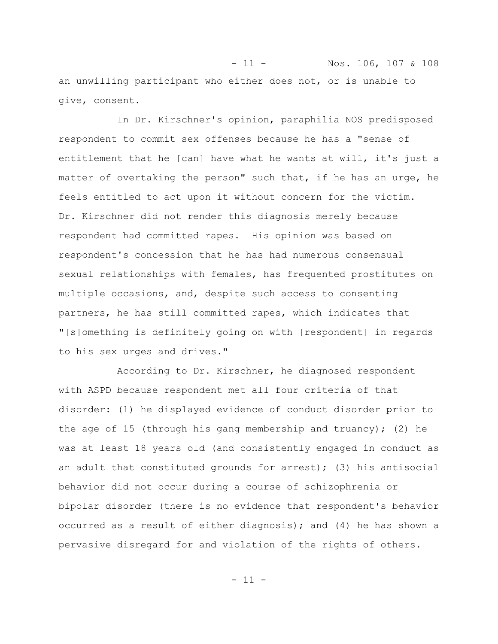- 11 - Nos. 106, 107 & 108 an unwilling participant who either does not, or is unable to give, consent.

In Dr. Kirschner's opinion, paraphilia NOS predisposed respondent to commit sex offenses because he has a "sense of entitlement that he [can] have what he wants at will, it's just a matter of overtaking the person" such that, if he has an urge, he feels entitled to act upon it without concern for the victim. Dr. Kirschner did not render this diagnosis merely because respondent had committed rapes. His opinion was based on respondent's concession that he has had numerous consensual sexual relationships with females, has frequented prostitutes on multiple occasions, and, despite such access to consenting partners, he has still committed rapes, which indicates that "[s]omething is definitely going on with [respondent] in regards to his sex urges and drives."

According to Dr. Kirschner, he diagnosed respondent with ASPD because respondent met all four criteria of that disorder: (1) he displayed evidence of conduct disorder prior to the age of 15 (through his gang membership and truancy); (2) he was at least 18 years old (and consistently engaged in conduct as an adult that constituted grounds for arrest); (3) his antisocial behavior did not occur during a course of schizophrenia or bipolar disorder (there is no evidence that respondent's behavior occurred as a result of either diagnosis); and (4) he has shown a pervasive disregard for and violation of the rights of others.

 $-11 -$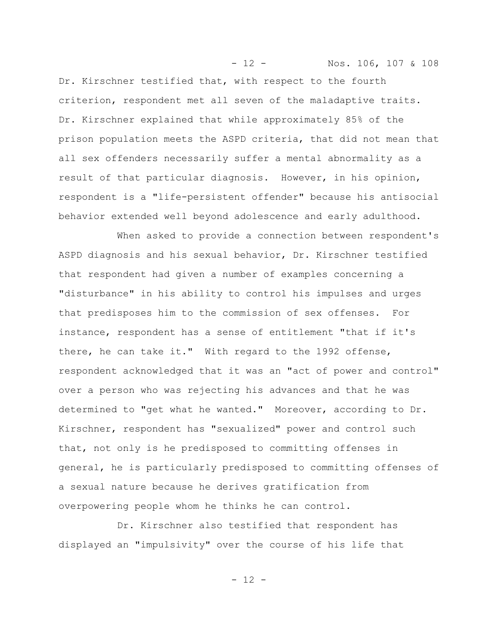Dr. Kirschner testified that, with respect to the fourth criterion, respondent met all seven of the maladaptive traits. Dr. Kirschner explained that while approximately 85% of the prison population meets the ASPD criteria, that did not mean that all sex offenders necessarily suffer a mental abnormality as a result of that particular diagnosis. However, in his opinion, respondent is a "life-persistent offender" because his antisocial behavior extended well beyond adolescence and early adulthood.

- 12 - Nos. 106, 107 & 108

When asked to provide a connection between respondent's ASPD diagnosis and his sexual behavior, Dr. Kirschner testified that respondent had given a number of examples concerning a "disturbance" in his ability to control his impulses and urges that predisposes him to the commission of sex offenses. For instance, respondent has a sense of entitlement "that if it's there, he can take it." With regard to the 1992 offense, respondent acknowledged that it was an "act of power and control" over a person who was rejecting his advances and that he was determined to "get what he wanted." Moreover, according to Dr. Kirschner, respondent has "sexualized" power and control such that, not only is he predisposed to committing offenses in general, he is particularly predisposed to committing offenses of a sexual nature because he derives gratification from overpowering people whom he thinks he can control.

Dr. Kirschner also testified that respondent has displayed an "impulsivity" over the course of his life that

 $- 12 -$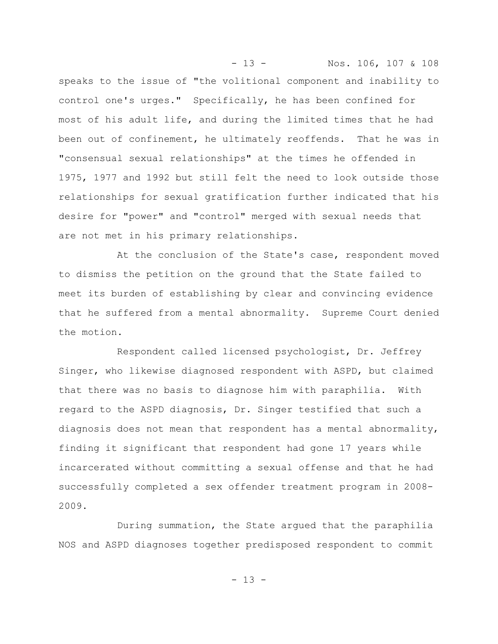- 13 - Nos. 106, 107 & 108 speaks to the issue of "the volitional component and inability to control one's urges." Specifically, he has been confined for most of his adult life, and during the limited times that he had been out of confinement, he ultimately reoffends. That he was in "consensual sexual relationships" at the times he offended in 1975, 1977 and 1992 but still felt the need to look outside those relationships for sexual gratification further indicated that his desire for "power" and "control" merged with sexual needs that are not met in his primary relationships.

At the conclusion of the State's case, respondent moved to dismiss the petition on the ground that the State failed to meet its burden of establishing by clear and convincing evidence that he suffered from a mental abnormality. Supreme Court denied the motion.

Respondent called licensed psychologist, Dr. Jeffrey Singer, who likewise diagnosed respondent with ASPD, but claimed that there was no basis to diagnose him with paraphilia. With regard to the ASPD diagnosis, Dr. Singer testified that such a diagnosis does not mean that respondent has a mental abnormality, finding it significant that respondent had gone 17 years while incarcerated without committing a sexual offense and that he had successfully completed a sex offender treatment program in 2008- 2009.

During summation, the State argued that the paraphilia NOS and ASPD diagnoses together predisposed respondent to commit

- 13 -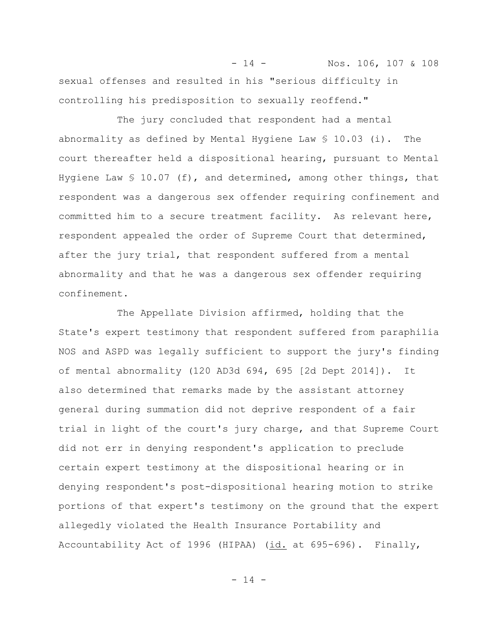- 14 - Nos. 106, 107 & 108 sexual offenses and resulted in his "serious difficulty in controlling his predisposition to sexually reoffend."

The jury concluded that respondent had a mental abnormality as defined by Mental Hygiene Law  $$10.03$  (i). The court thereafter held a dispositional hearing, pursuant to Mental Hygiene Law  $\frac{10.07}{f}$ , and determined, among other things, that respondent was a dangerous sex offender requiring confinement and committed him to a secure treatment facility. As relevant here, respondent appealed the order of Supreme Court that determined, after the jury trial, that respondent suffered from a mental abnormality and that he was a dangerous sex offender requiring confinement.

The Appellate Division affirmed, holding that the State's expert testimony that respondent suffered from paraphilia NOS and ASPD was legally sufficient to support the jury's finding of mental abnormality (120 AD3d 694, 695 [2d Dept 2014]). It also determined that remarks made by the assistant attorney general during summation did not deprive respondent of a fair trial in light of the court's jury charge, and that Supreme Court did not err in denying respondent's application to preclude certain expert testimony at the dispositional hearing or in denying respondent's post-dispositional hearing motion to strike portions of that expert's testimony on the ground that the expert allegedly violated the Health Insurance Portability and Accountability Act of 1996 (HIPAA) (id. at 695-696). Finally,

- 14 -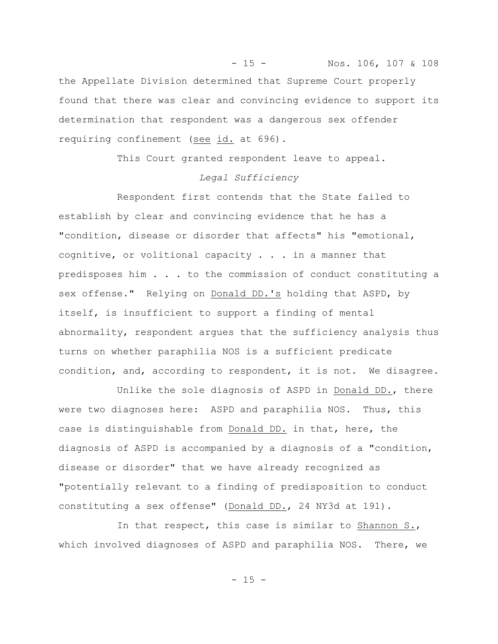- 15 - Nos. 106, 107 & 108 the Appellate Division determined that Supreme Court properly found that there was clear and convincing evidence to support its determination that respondent was a dangerous sex offender requiring confinement (see id. at 696).

This Court granted respondent leave to appeal.

# *Legal Sufficiency*

Respondent first contends that the State failed to establish by clear and convincing evidence that he has a "condition, disease or disorder that affects" his "emotional, cognitive, or volitional capacity . . . in a manner that predisposes him . . . to the commission of conduct constituting a sex offense." Relying on Donald DD.'s holding that ASPD, by itself, is insufficient to support a finding of mental abnormality, respondent argues that the sufficiency analysis thus turns on whether paraphilia NOS is a sufficient predicate condition, and, according to respondent, it is not. We disagree.

Unlike the sole diagnosis of ASPD in Donald DD., there were two diagnoses here: ASPD and paraphilia NOS. Thus, this case is distinguishable from Donald DD. in that, here, the diagnosis of ASPD is accompanied by a diagnosis of a "condition, disease or disorder" that we have already recognized as "potentially relevant to a finding of predisposition to conduct constituting a sex offense" (Donald DD., 24 NY3d at 191).

In that respect, this case is similar to Shannon S., which involved diagnoses of ASPD and paraphilia NOS. There, we

 $- 15 -$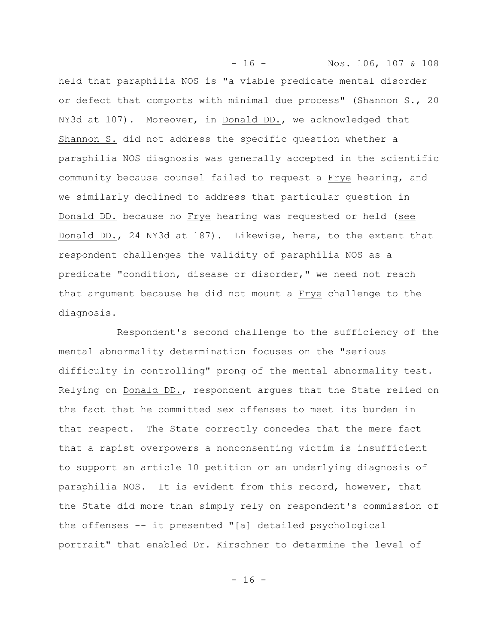- 16 - Nos. 106, 107 & 108 held that paraphilia NOS is "a viable predicate mental disorder or defect that comports with minimal due process" (Shannon S., 20 NY3d at 107). Moreover, in Donald DD., we acknowledged that Shannon S. did not address the specific question whether a paraphilia NOS diagnosis was generally accepted in the scientific community because counsel failed to request a Frye hearing, and we similarly declined to address that particular question in Donald DD. because no Frye hearing was requested or held (see Donald DD., 24 NY3d at 187). Likewise, here, to the extent that respondent challenges the validity of paraphilia NOS as a predicate "condition, disease or disorder," we need not reach that argument because he did not mount a Frye challenge to the diagnosis.

Respondent's second challenge to the sufficiency of the mental abnormality determination focuses on the "serious difficulty in controlling" prong of the mental abnormality test. Relying on Donald DD., respondent argues that the State relied on the fact that he committed sex offenses to meet its burden in that respect. The State correctly concedes that the mere fact that a rapist overpowers a nonconsenting victim is insufficient to support an article 10 petition or an underlying diagnosis of paraphilia NOS. It is evident from this record, however, that the State did more than simply rely on respondent's commission of the offenses -- it presented "[a] detailed psychological portrait" that enabled Dr. Kirschner to determine the level of

 $- 16 -$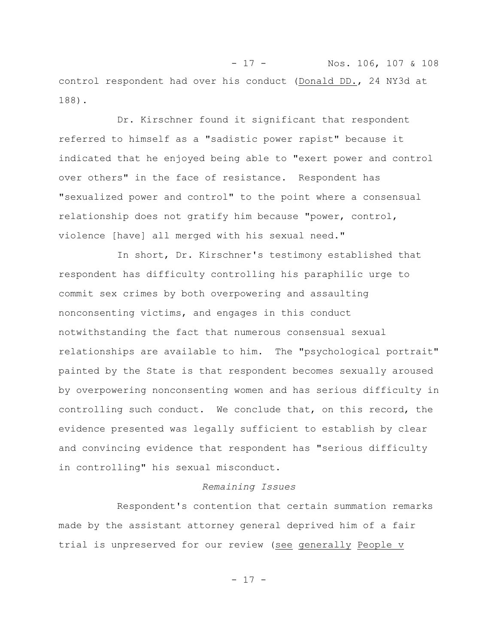- 17 - Nos. 106, 107 & 108 control respondent had over his conduct (Donald DD., 24 NY3d at 188).

Dr. Kirschner found it significant that respondent referred to himself as a "sadistic power rapist" because it indicated that he enjoyed being able to "exert power and control over others" in the face of resistance. Respondent has "sexualized power and control" to the point where a consensual relationship does not gratify him because "power, control, violence [have] all merged with his sexual need."

In short, Dr. Kirschner's testimony established that respondent has difficulty controlling his paraphilic urge to commit sex crimes by both overpowering and assaulting nonconsenting victims, and engages in this conduct notwithstanding the fact that numerous consensual sexual relationships are available to him. The "psychological portrait" painted by the State is that respondent becomes sexually aroused by overpowering nonconsenting women and has serious difficulty in controlling such conduct. We conclude that, on this record, the evidence presented was legally sufficient to establish by clear and convincing evidence that respondent has "serious difficulty in controlling" his sexual misconduct.

### *Remaining Issues*

Respondent's contention that certain summation remarks made by the assistant attorney general deprived him of a fair trial is unpreserved for our review (see generally People v

 $- 17 -$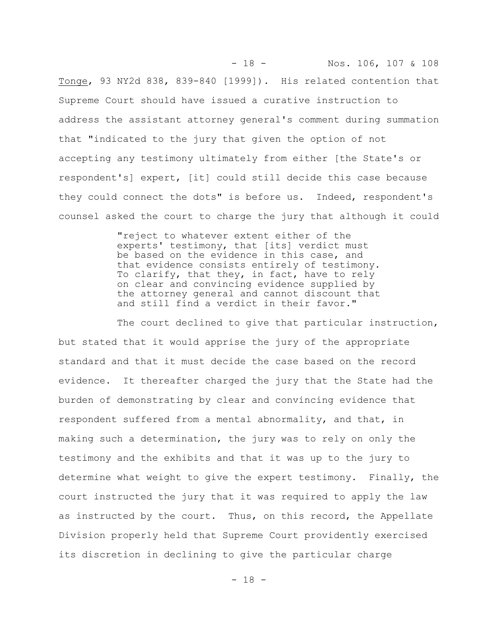Tonge, 93 NY2d 838, 839-840 [1999]). His related contention that Supreme Court should have issued a curative instruction to address the assistant attorney general's comment during summation that "indicated to the jury that given the option of not accepting any testimony ultimately from either [the State's or respondent's] expert, [it] could still decide this case because they could connect the dots" is before us. Indeed, respondent's counsel asked the court to charge the jury that although it could

- 18 - Nos. 106, 107 & 108

"reject to whatever extent either of the experts' testimony, that [its] verdict must be based on the evidence in this case, and that evidence consists entirely of testimony. To clarify, that they, in fact, have to rely on clear and convincing evidence supplied by the attorney general and cannot discount that and still find a verdict in their favor."

The court declined to give that particular instruction, but stated that it would apprise the jury of the appropriate standard and that it must decide the case based on the record evidence. It thereafter charged the jury that the State had the burden of demonstrating by clear and convincing evidence that respondent suffered from a mental abnormality, and that, in making such a determination, the jury was to rely on only the testimony and the exhibits and that it was up to the jury to determine what weight to give the expert testimony. Finally, the court instructed the jury that it was required to apply the law as instructed by the court. Thus, on this record, the Appellate Division properly held that Supreme Court providently exercised its discretion in declining to give the particular charge

 $- 18 -$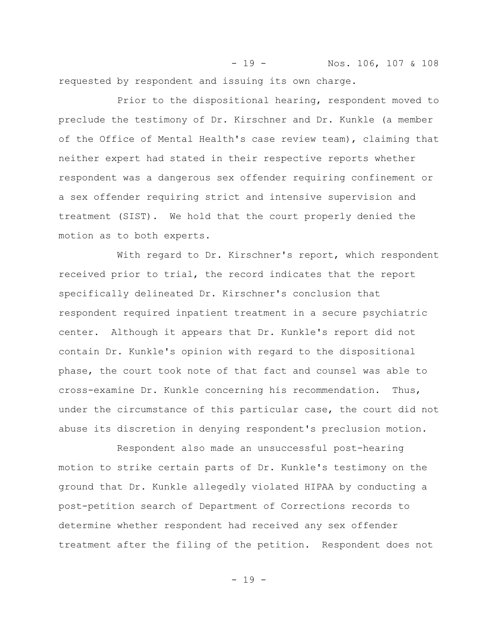- 19 - Nos. 106, 107 & 108 requested by respondent and issuing its own charge.

Prior to the dispositional hearing, respondent moved to preclude the testimony of Dr. Kirschner and Dr. Kunkle (a member of the Office of Mental Health's case review team), claiming that neither expert had stated in their respective reports whether respondent was a dangerous sex offender requiring confinement or a sex offender requiring strict and intensive supervision and treatment (SIST). We hold that the court properly denied the motion as to both experts.

With regard to Dr. Kirschner's report, which respondent received prior to trial, the record indicates that the report specifically delineated Dr. Kirschner's conclusion that respondent required inpatient treatment in a secure psychiatric center. Although it appears that Dr. Kunkle's report did not contain Dr. Kunkle's opinion with regard to the dispositional phase, the court took note of that fact and counsel was able to cross-examine Dr. Kunkle concerning his recommendation. Thus, under the circumstance of this particular case, the court did not abuse its discretion in denying respondent's preclusion motion.

Respondent also made an unsuccessful post-hearing motion to strike certain parts of Dr. Kunkle's testimony on the ground that Dr. Kunkle allegedly violated HIPAA by conducting a post-petition search of Department of Corrections records to determine whether respondent had received any sex offender treatment after the filing of the petition. Respondent does not

- 19 -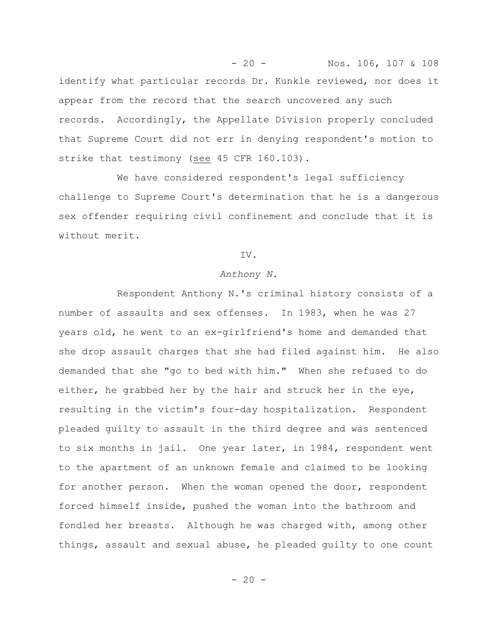- 20 - Nos. 106, 107 & 108 identify what particular records Dr. Kunkle reviewed, nor does it appear from the record that the search uncovered any such records. Accordingly, the Appellate Division properly concluded that Supreme Court did not err in denying respondent's motion to strike that testimony (see 45 CFR 160.103).

We have considered respondent's legal sufficiency challenge to Supreme Court's determination that he is a dangerous sex offender requiring civil confinement and conclude that it is without merit.

## IV.

#### *Anthony N.*

Respondent Anthony N.'s criminal history consists of a number of assaults and sex offenses. In 1983, when he was 27 years old, he went to an ex-girlfriend's home and demanded that she drop assault charges that she had filed against him. He also demanded that she "go to bed with him." When she refused to do either, he grabbed her by the hair and struck her in the eye, resulting in the victim's four-day hospitalization. Respondent pleaded guilty to assault in the third degree and was sentenced to six months in jail. One year later, in 1984, respondent went to the apartment of an unknown female and claimed to be looking for another person. When the woman opened the door, respondent forced himself inside, pushed the woman into the bathroom and fondled her breasts. Although he was charged with, among other things, assault and sexual abuse, he pleaded guilty to one count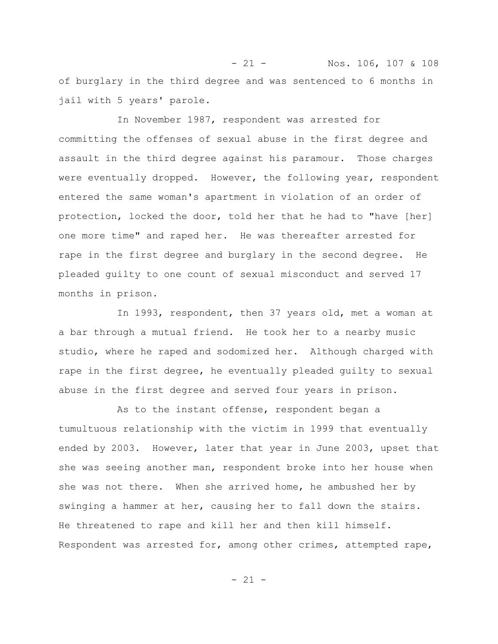- 21 - Nos. 106, 107 & 108 of burglary in the third degree and was sentenced to 6 months in jail with 5 years' parole.

In November 1987, respondent was arrested for committing the offenses of sexual abuse in the first degree and assault in the third degree against his paramour. Those charges were eventually dropped. However, the following year, respondent entered the same woman's apartment in violation of an order of protection, locked the door, told her that he had to "have [her] one more time" and raped her. He was thereafter arrested for rape in the first degree and burglary in the second degree. He pleaded guilty to one count of sexual misconduct and served 17 months in prison.

In 1993, respondent, then 37 years old, met a woman at a bar through a mutual friend. He took her to a nearby music studio, where he raped and sodomized her. Although charged with rape in the first degree, he eventually pleaded guilty to sexual abuse in the first degree and served four years in prison.

As to the instant offense, respondent began a tumultuous relationship with the victim in 1999 that eventually ended by 2003. However, later that year in June 2003, upset that she was seeing another man, respondent broke into her house when she was not there. When she arrived home, he ambushed her by swinging a hammer at her, causing her to fall down the stairs. He threatened to rape and kill her and then kill himself. Respondent was arrested for, among other crimes, attempted rape,

 $- 21 -$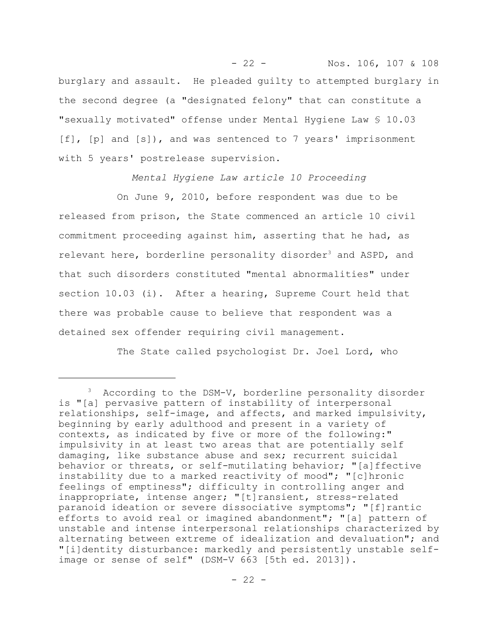- 22 - Nos. 106, 107 & 108 burglary and assault. He pleaded guilty to attempted burglary in the second degree (a "designated felony" that can constitute a "sexually motivated" offense under Mental Hygiene Law § 10.03  $[f]$ ,  $[p]$  and  $[s]$ , and was sentenced to 7 years' imprisonment with 5 years' postrelease supervision.

*Mental Hygiene Law article 10 Proceeding*

On June 9, 2010, before respondent was due to be released from prison, the State commenced an article 10 civil commitment proceeding against him, asserting that he had, as relevant here, borderline personality disorder<sup>3</sup> and ASPD, and that such disorders constituted "mental abnormalities" under section 10.03 (i). After a hearing, Supreme Court held that there was probable cause to believe that respondent was a detained sex offender requiring civil management.

The State called psychologist Dr. Joel Lord, who

<sup>&</sup>lt;sup>3</sup> According to the DSM-V, borderline personality disorder is "[a] pervasive pattern of instability of interpersonal relationships, self-image, and affects, and marked impulsivity, beginning by early adulthood and present in a variety of contexts, as indicated by five or more of the following:" impulsivity in at least two areas that are potentially self damaging, like substance abuse and sex; recurrent suicidal behavior or threats, or self-mutilating behavior; "[a]ffective instability due to a marked reactivity of mood"; "[c]hronic feelings of emptiness"; difficulty in controlling anger and inappropriate, intense anger; "[t]ransient, stress-related paranoid ideation or severe dissociative symptoms"; "[f]rantic efforts to avoid real or imagined abandonment"; "[a] pattern of unstable and intense interpersonal relationships characterized by alternating between extreme of idealization and devaluation"; and "[i]dentity disturbance: markedly and persistently unstable selfimage or sense of self" (DSM-V 663 [5th ed. 2013]).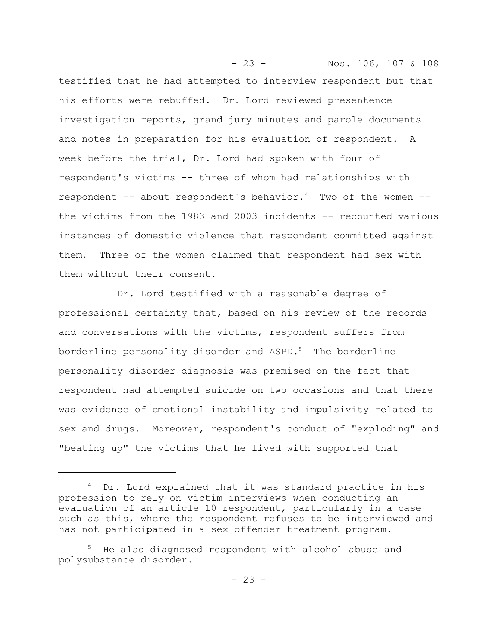- 23 - Nos. 106, 107 & 108 testified that he had attempted to interview respondent but that his efforts were rebuffed. Dr. Lord reviewed presentence investigation reports, grand jury minutes and parole documents and notes in preparation for his evaluation of respondent. A week before the trial, Dr. Lord had spoken with four of respondent's victims -- three of whom had relationships with respondent  $--$  about respondent's behavior.<sup>4</sup> Two of the women  $-$ the victims from the 1983 and 2003 incidents -- recounted various instances of domestic violence that respondent committed against them. Three of the women claimed that respondent had sex with them without their consent.

Dr. Lord testified with a reasonable degree of professional certainty that, based on his review of the records and conversations with the victims, respondent suffers from borderline personality disorder and  $ASPD.^5$  The borderline personality disorder diagnosis was premised on the fact that respondent had attempted suicide on two occasions and that there was evidence of emotional instability and impulsivity related to sex and drugs. Moreover, respondent's conduct of "exploding" and "beating up" the victims that he lived with supported that

<sup>&</sup>lt;sup>4</sup> Dr. Lord explained that it was standard practice in his profession to rely on victim interviews when conducting an evaluation of an article 10 respondent, particularly in a case such as this, where the respondent refuses to be interviewed and has not participated in a sex offender treatment program.

<sup>5</sup> He also diagnosed respondent with alcohol abuse and polysubstance disorder.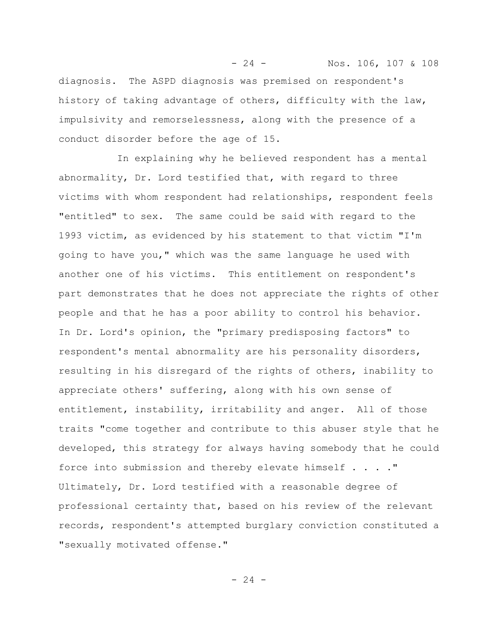- 24 - Nos. 106, 107 & 108 diagnosis. The ASPD diagnosis was premised on respondent's history of taking advantage of others, difficulty with the law, impulsivity and remorselessness, along with the presence of a conduct disorder before the age of 15.

In explaining why he believed respondent has a mental abnormality, Dr. Lord testified that, with regard to three victims with whom respondent had relationships, respondent feels "entitled" to sex. The same could be said with regard to the 1993 victim, as evidenced by his statement to that victim "I'm going to have you," which was the same language he used with another one of his victims. This entitlement on respondent's part demonstrates that he does not appreciate the rights of other people and that he has a poor ability to control his behavior. In Dr. Lord's opinion, the "primary predisposing factors" to respondent's mental abnormality are his personality disorders, resulting in his disregard of the rights of others, inability to appreciate others' suffering, along with his own sense of entitlement, instability, irritability and anger. All of those traits "come together and contribute to this abuser style that he developed, this strategy for always having somebody that he could force into submission and thereby elevate himself . . . ." Ultimately, Dr. Lord testified with a reasonable degree of professional certainty that, based on his review of the relevant records, respondent's attempted burglary conviction constituted a "sexually motivated offense."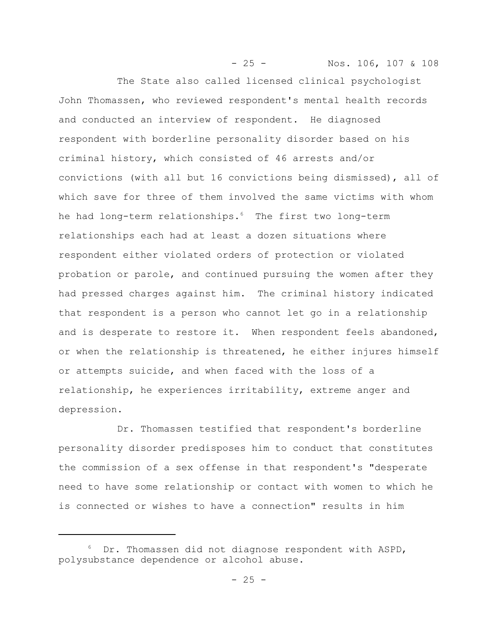- 25 - Nos. 106, 107 & 108 The State also called licensed clinical psychologist John Thomassen, who reviewed respondent's mental health records and conducted an interview of respondent. He diagnosed respondent with borderline personality disorder based on his criminal history, which consisted of 46 arrests and/or convictions (with all but 16 convictions being dismissed), all of which save for three of them involved the same victims with whom he had long-term relationships.<sup>6</sup> The first two long-term relationships each had at least a dozen situations where respondent either violated orders of protection or violated probation or parole, and continued pursuing the women after they had pressed charges against him. The criminal history indicated that respondent is a person who cannot let go in a relationship and is desperate to restore it. When respondent feels abandoned, or when the relationship is threatened, he either injures himself or attempts suicide, and when faced with the loss of a relationship, he experiences irritability, extreme anger and depression.

Dr. Thomassen testified that respondent's borderline personality disorder predisposes him to conduct that constitutes the commission of a sex offense in that respondent's "desperate need to have some relationship or contact with women to which he is connected or wishes to have a connection" results in him

<sup>&</sup>lt;sup>6</sup> Dr. Thomassen did not diagnose respondent with ASPD, polysubstance dependence or alcohol abuse.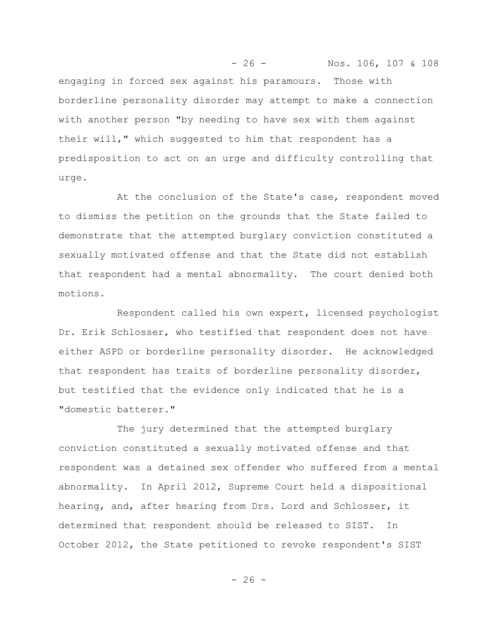- 26 - Nos. 106, 107 & 108 engaging in forced sex against his paramours. Those with borderline personality disorder may attempt to make a connection with another person "by needing to have sex with them against their will," which suggested to him that respondent has a predisposition to act on an urge and difficulty controlling that urge.

At the conclusion of the State's case, respondent moved to dismiss the petition on the grounds that the State failed to demonstrate that the attempted burglary conviction constituted a sexually motivated offense and that the State did not establish that respondent had a mental abnormality. The court denied both motions.

Respondent called his own expert, licensed psychologist Dr. Erik Schlosser, who testified that respondent does not have either ASPD or borderline personality disorder. He acknowledged that respondent has traits of borderline personality disorder, but testified that the evidence only indicated that he is a "domestic batterer."

The jury determined that the attempted burglary conviction constituted a sexually motivated offense and that respondent was a detained sex offender who suffered from a mental abnormality. In April 2012, Supreme Court held a dispositional hearing, and, after hearing from Drs. Lord and Schlosser, it determined that respondent should be released to SIST. In October 2012, the State petitioned to revoke respondent's SIST

$$
-26-
$$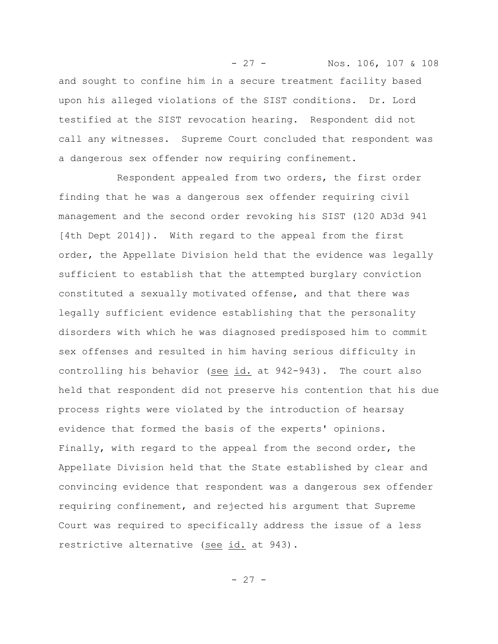- 27 - Nos. 106, 107 & 108 and sought to confine him in a secure treatment facility based upon his alleged violations of the SIST conditions. Dr. Lord testified at the SIST revocation hearing. Respondent did not call any witnesses. Supreme Court concluded that respondent was a dangerous sex offender now requiring confinement.

Respondent appealed from two orders, the first order finding that he was a dangerous sex offender requiring civil management and the second order revoking his SIST (120 AD3d 941 [4th Dept 2014]). With regard to the appeal from the first order, the Appellate Division held that the evidence was legally sufficient to establish that the attempted burglary conviction constituted a sexually motivated offense, and that there was legally sufficient evidence establishing that the personality disorders with which he was diagnosed predisposed him to commit sex offenses and resulted in him having serious difficulty in controlling his behavior (see id. at 942-943). The court also held that respondent did not preserve his contention that his due process rights were violated by the introduction of hearsay evidence that formed the basis of the experts' opinions. Finally, with regard to the appeal from the second order, the Appellate Division held that the State established by clear and convincing evidence that respondent was a dangerous sex offender requiring confinement, and rejected his argument that Supreme Court was required to specifically address the issue of a less restrictive alternative (see id. at 943).

- 27 -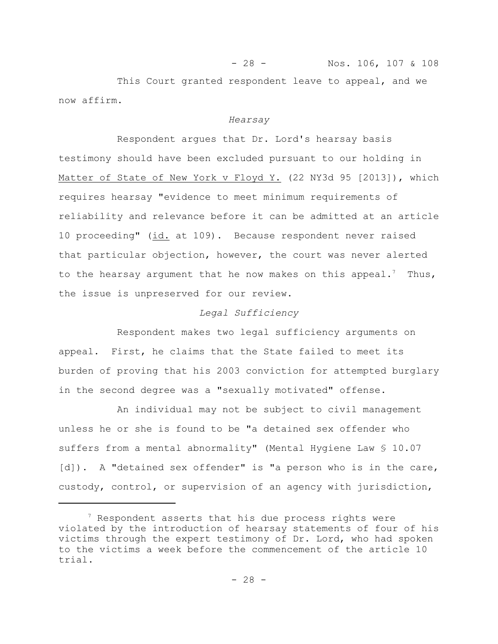This Court granted respondent leave to appeal, and we now affirm.

- 28 - Nos. 106, 107 & 108

#### *Hearsay*

Respondent argues that Dr. Lord's hearsay basis testimony should have been excluded pursuant to our holding in Matter of State of New York v Floyd Y. (22 NY3d 95 [2013]), which requires hearsay "evidence to meet minimum requirements of reliability and relevance before it can be admitted at an article 10 proceeding" (id. at 109). Because respondent never raised that particular objection, however, the court was never alerted to the hearsay argument that he now makes on this appeal.<sup>7</sup> Thus, the issue is unpreserved for our review.

## *Legal Sufficiency*

Respondent makes two legal sufficiency arguments on appeal. First, he claims that the State failed to meet its burden of proving that his 2003 conviction for attempted burglary in the second degree was a "sexually motivated" offense.

An individual may not be subject to civil management unless he or she is found to be "a detained sex offender who suffers from a mental abnormality" (Mental Hygiene Law § 10.07 [d]). A "detained sex offender" is "a person who is in the care, custody, control, or supervision of an agency with jurisdiction,

 $7$  Respondent asserts that his due process rights were violated by the introduction of hearsay statements of four of his victims through the expert testimony of Dr. Lord, who had spoken to the victims a week before the commencement of the article 10 trial.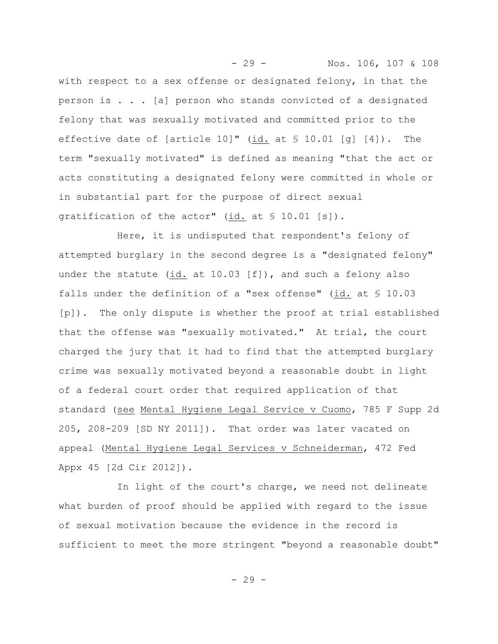- 29 - Nos. 106, 107 & 108 with respect to a sex offense or designated felony, in that the person is . . . [a] person who stands convicted of a designated felony that was sexually motivated and committed prior to the effective date of [article 10]" (id. at § 10.01 [g] [4]). The term "sexually motivated" is defined as meaning "that the act or acts constituting a designated felony were committed in whole or in substantial part for the purpose of direct sexual gratification of the actor" (id. at § 10.01 [s]).

Here, it is undisputed that respondent's felony of attempted burglary in the second degree is a "designated felony" under the statute (id. at 10.03 [f]), and such a felony also falls under the definition of a "sex offense" (id. at  $\S$  10.03 [p]). The only dispute is whether the proof at trial established that the offense was "sexually motivated." At trial, the court charged the jury that it had to find that the attempted burglary crime was sexually motivated beyond a reasonable doubt in light of a federal court order that required application of that standard (see Mental Hygiene Legal Service v Cuomo, 785 F Supp 2d 205, 208-209 [SD NY 2011]). That order was later vacated on appeal (Mental Hygiene Legal Services v Schneiderman, 472 Fed Appx 45 [2d Cir 2012]).

In light of the court's charge, we need not delineate what burden of proof should be applied with regard to the issue of sexual motivation because the evidence in the record is sufficient to meet the more stringent "beyond a reasonable doubt"

 $-29 -$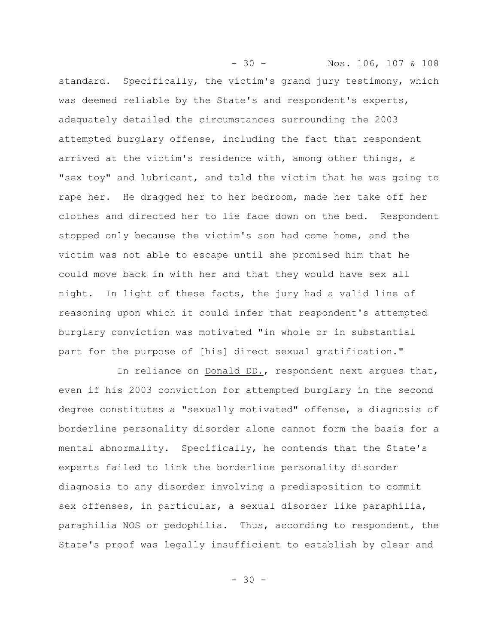- 30 - Nos. 106, 107 & 108 standard. Specifically, the victim's grand jury testimony, which was deemed reliable by the State's and respondent's experts, adequately detailed the circumstances surrounding the 2003 attempted burglary offense, including the fact that respondent arrived at the victim's residence with, among other things, a "sex toy" and lubricant, and told the victim that he was going to rape her. He dragged her to her bedroom, made her take off her clothes and directed her to lie face down on the bed. Respondent stopped only because the victim's son had come home, and the victim was not able to escape until she promised him that he could move back in with her and that they would have sex all night. In light of these facts, the jury had a valid line of reasoning upon which it could infer that respondent's attempted burglary conviction was motivated "in whole or in substantial part for the purpose of [his] direct sexual gratification."

In reliance on Donald DD., respondent next argues that, even if his 2003 conviction for attempted burglary in the second degree constitutes a "sexually motivated" offense, a diagnosis of borderline personality disorder alone cannot form the basis for a mental abnormality. Specifically, he contends that the State's experts failed to link the borderline personality disorder diagnosis to any disorder involving a predisposition to commit sex offenses, in particular, a sexual disorder like paraphilia, paraphilia NOS or pedophilia. Thus, according to respondent, the State's proof was legally insufficient to establish by clear and

 $- 30 -$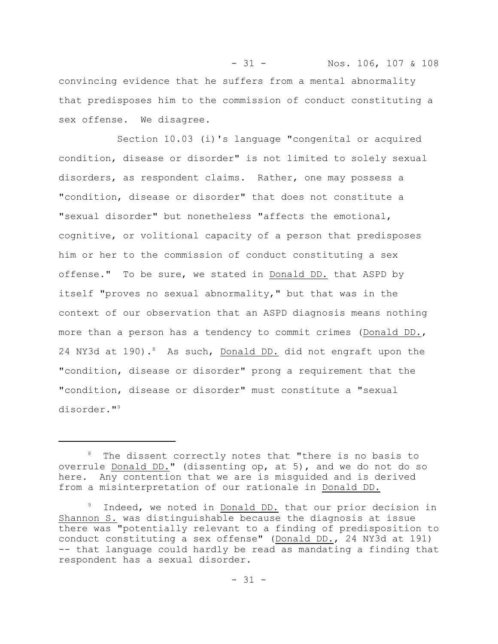- 31 - Nos. 106, 107 & 108 convincing evidence that he suffers from a mental abnormality that predisposes him to the commission of conduct constituting a sex offense. We disagree.

Section 10.03 (i)'s language "congenital or acquired condition, disease or disorder" is not limited to solely sexual disorders, as respondent claims. Rather, one may possess a "condition, disease or disorder" that does not constitute a "sexual disorder" but nonetheless "affects the emotional, cognitive, or volitional capacity of a person that predisposes him or her to the commission of conduct constituting a sex offense." To be sure, we stated in Donald DD. that ASPD by itself "proves no sexual abnormality," but that was in the context of our observation that an ASPD diagnosis means nothing more than a person has a tendency to commit crimes (Donald DD., 24 NY3d at 190).<sup>8</sup> As such, Donald DD. did not engraft upon the "condition, disease or disorder" prong a requirement that the "condition, disease or disorder" must constitute a "sexual disorder."<sup>9</sup>

<sup>&</sup>lt;sup>8</sup> The dissent correctly notes that "there is no basis to overrule Donald DD." (dissenting op, at 5), and we do not do so here. Any contention that we are is misguided and is derived from a misinterpretation of our rationale in Donald DD.

<sup>&</sup>lt;sup>9</sup> Indeed, we noted in Donald DD. that our prior decision in Shannon S. was distinguishable because the diagnosis at issue there was "potentially relevant to a finding of predisposition to conduct constituting a sex offense" (Donald DD., 24 NY3d at 191) -- that language could hardly be read as mandating a finding that respondent has a sexual disorder.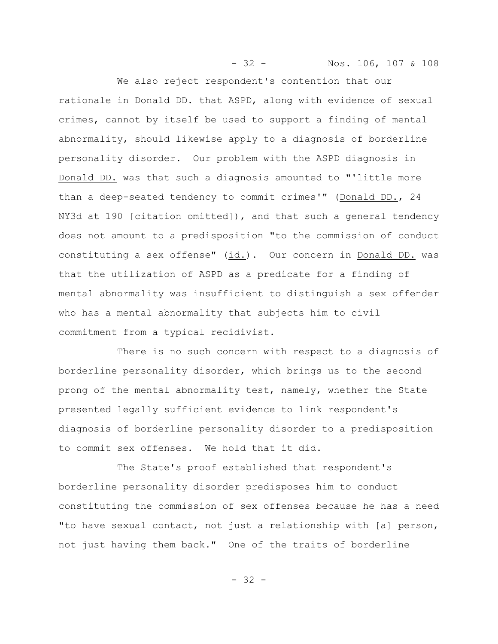- 32 - Nos. 106, 107 & 108

We also reject respondent's contention that our rationale in Donald DD. that ASPD, along with evidence of sexual crimes, cannot by itself be used to support a finding of mental abnormality, should likewise apply to a diagnosis of borderline personality disorder. Our problem with the ASPD diagnosis in Donald DD. was that such a diagnosis amounted to "'little more than a deep-seated tendency to commit crimes'" (Donald DD., 24 NY3d at 190 [citation omitted]), and that such a general tendency does not amount to a predisposition "to the commission of conduct constituting a sex offense" (id.). Our concern in Donald DD. was that the utilization of ASPD as a predicate for a finding of mental abnormality was insufficient to distinguish a sex offender who has a mental abnormality that subjects him to civil commitment from a typical recidivist.

There is no such concern with respect to a diagnosis of borderline personality disorder, which brings us to the second prong of the mental abnormality test, namely, whether the State presented legally sufficient evidence to link respondent's diagnosis of borderline personality disorder to a predisposition to commit sex offenses. We hold that it did.

The State's proof established that respondent's borderline personality disorder predisposes him to conduct constituting the commission of sex offenses because he has a need "to have sexual contact, not just a relationship with [a] person, not just having them back." One of the traits of borderline

- 32 -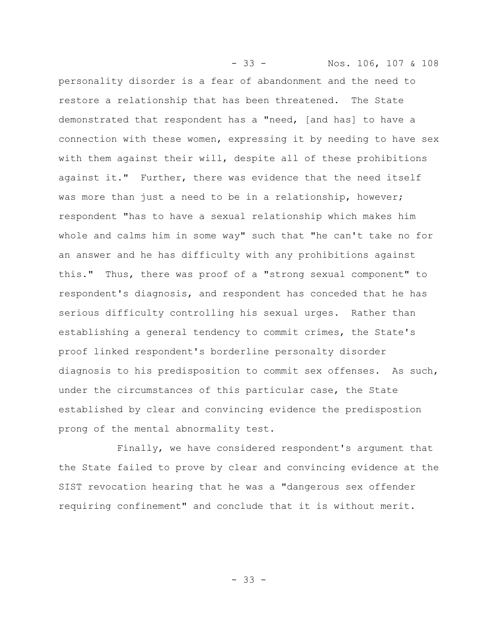- 33 - Nos. 106, 107 & 108 personality disorder is a fear of abandonment and the need to restore a relationship that has been threatened. The State demonstrated that respondent has a "need, [and has] to have a connection with these women, expressing it by needing to have sex with them against their will, despite all of these prohibitions against it." Further, there was evidence that the need itself was more than just a need to be in a relationship, however; respondent "has to have a sexual relationship which makes him whole and calms him in some way" such that "he can't take no for an answer and he has difficulty with any prohibitions against this." Thus, there was proof of a "strong sexual component" to respondent's diagnosis, and respondent has conceded that he has serious difficulty controlling his sexual urges. Rather than establishing a general tendency to commit crimes, the State's proof linked respondent's borderline personalty disorder diagnosis to his predisposition to commit sex offenses. As such, under the circumstances of this particular case, the State established by clear and convincing evidence the predispostion prong of the mental abnormality test.

Finally, we have considered respondent's argument that the State failed to prove by clear and convincing evidence at the SIST revocation hearing that he was a "dangerous sex offender requiring confinement" and conclude that it is without merit.

- 33 -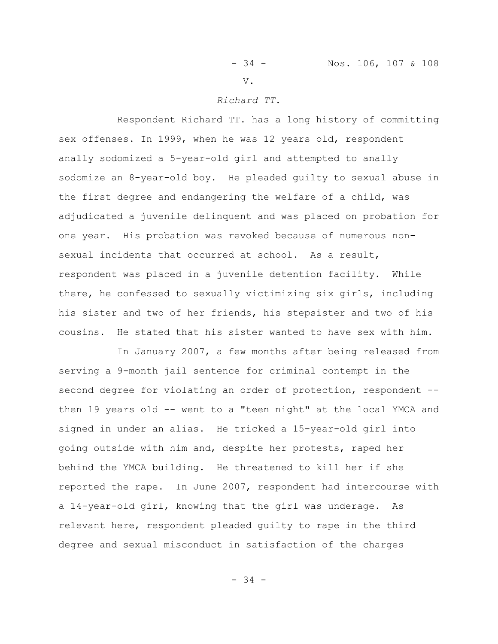V.

#### *Richard TT.*

Respondent Richard TT. has a long history of committing sex offenses. In 1999, when he was 12 years old, respondent anally sodomized a 5-year-old girl and attempted to anally sodomize an 8-year-old boy. He pleaded guilty to sexual abuse in the first degree and endangering the welfare of a child, was adjudicated a juvenile delinquent and was placed on probation for one year. His probation was revoked because of numerous nonsexual incidents that occurred at school. As a result, respondent was placed in a juvenile detention facility. While there, he confessed to sexually victimizing six girls, including his sister and two of her friends, his stepsister and two of his cousins. He stated that his sister wanted to have sex with him.

In January 2007, a few months after being released from serving a 9-month jail sentence for criminal contempt in the second degree for violating an order of protection, respondent - then 19 years old -- went to a "teen night" at the local YMCA and signed in under an alias. He tricked a 15-year-old girl into going outside with him and, despite her protests, raped her behind the YMCA building. He threatened to kill her if she reported the rape. In June 2007, respondent had intercourse with a 14-year-old girl, knowing that the girl was underage. As relevant here, respondent pleaded guilty to rape in the third degree and sexual misconduct in satisfaction of the charges

- 34 -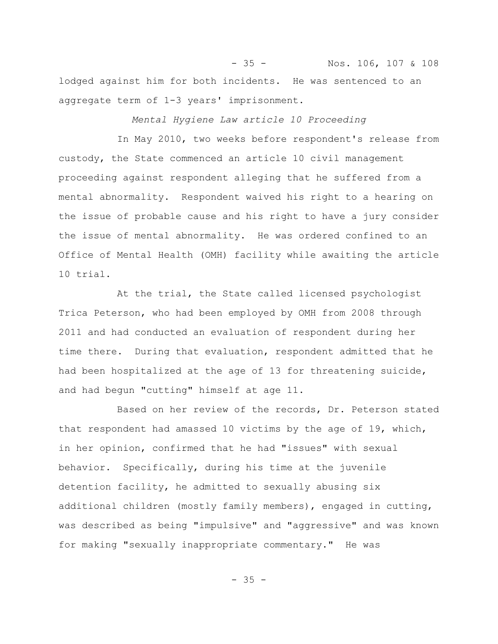- 35 - Nos. 106, 107 & 108 lodged against him for both incidents. He was sentenced to an aggregate term of 1-3 years' imprisonment.

*Mental Hygiene Law article 10 Proceeding*

In May 2010, two weeks before respondent's release from custody, the State commenced an article 10 civil management proceeding against respondent alleging that he suffered from a mental abnormality. Respondent waived his right to a hearing on the issue of probable cause and his right to have a jury consider the issue of mental abnormality. He was ordered confined to an Office of Mental Health (OMH) facility while awaiting the article 10 trial.

At the trial, the State called licensed psychologist Trica Peterson, who had been employed by OMH from 2008 through 2011 and had conducted an evaluation of respondent during her time there. During that evaluation, respondent admitted that he had been hospitalized at the age of 13 for threatening suicide, and had begun "cutting" himself at age 11.

Based on her review of the records, Dr. Peterson stated that respondent had amassed 10 victims by the age of 19, which, in her opinion, confirmed that he had "issues" with sexual behavior. Specifically, during his time at the juvenile detention facility, he admitted to sexually abusing six additional children (mostly family members), engaged in cutting, was described as being "impulsive" and "aggressive" and was known for making "sexually inappropriate commentary." He was

 $- 35 -$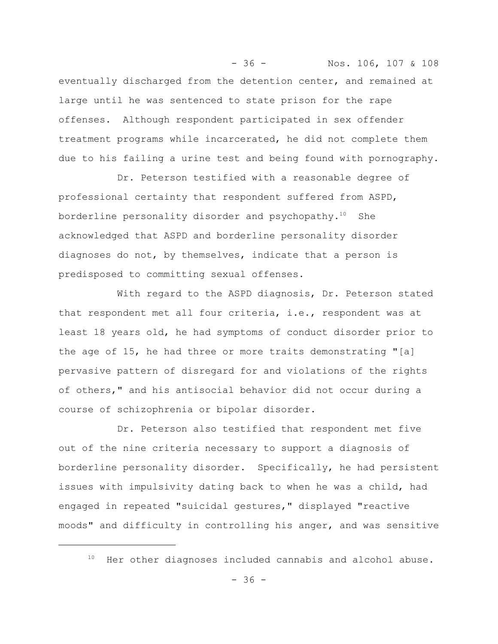eventually discharged from the detention center, and remained at large until he was sentenced to state prison for the rape offenses. Although respondent participated in sex offender treatment programs while incarcerated, he did not complete them due to his failing a urine test and being found with pornography.

- 36 - Nos. 106, 107 & 108

Dr. Peterson testified with a reasonable degree of professional certainty that respondent suffered from ASPD, borderline personality disorder and psychopathy. $10$  She acknowledged that ASPD and borderline personality disorder diagnoses do not, by themselves, indicate that a person is predisposed to committing sexual offenses.

With regard to the ASPD diagnosis, Dr. Peterson stated that respondent met all four criteria, i.e., respondent was at least 18 years old, he had symptoms of conduct disorder prior to the age of 15, he had three or more traits demonstrating "[a] pervasive pattern of disregard for and violations of the rights of others," and his antisocial behavior did not occur during a course of schizophrenia or bipolar disorder.

Dr. Peterson also testified that respondent met five out of the nine criteria necessary to support a diagnosis of borderline personality disorder. Specifically, he had persistent issues with impulsivity dating back to when he was a child, had engaged in repeated "suicidal gestures," displayed "reactive moods" and difficulty in controlling his anger, and was sensitive

<sup>10</sup> Her other diagnoses included cannabis and alcohol abuse.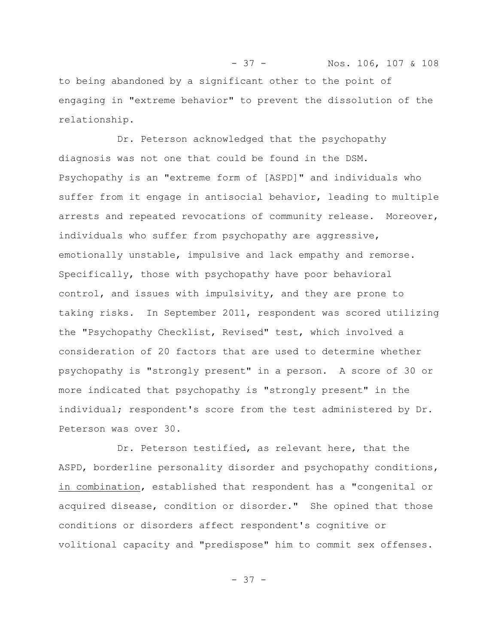- 37 - Nos. 106, 107 & 108 to being abandoned by a significant other to the point of engaging in "extreme behavior" to prevent the dissolution of the relationship.

Dr. Peterson acknowledged that the psychopathy diagnosis was not one that could be found in the DSM. Psychopathy is an "extreme form of [ASPD]" and individuals who suffer from it engage in antisocial behavior, leading to multiple arrests and repeated revocations of community release. Moreover, individuals who suffer from psychopathy are aggressive, emotionally unstable, impulsive and lack empathy and remorse. Specifically, those with psychopathy have poor behavioral control, and issues with impulsivity, and they are prone to taking risks. In September 2011, respondent was scored utilizing the "Psychopathy Checklist, Revised" test, which involved a consideration of 20 factors that are used to determine whether psychopathy is "strongly present" in a person. A score of 30 or more indicated that psychopathy is "strongly present" in the individual; respondent's score from the test administered by Dr. Peterson was over 30.

Dr. Peterson testified, as relevant here, that the ASPD, borderline personality disorder and psychopathy conditions, in combination, established that respondent has a "congenital or acquired disease, condition or disorder." She opined that those conditions or disorders affect respondent's cognitive or volitional capacity and "predispose" him to commit sex offenses.

- 37 -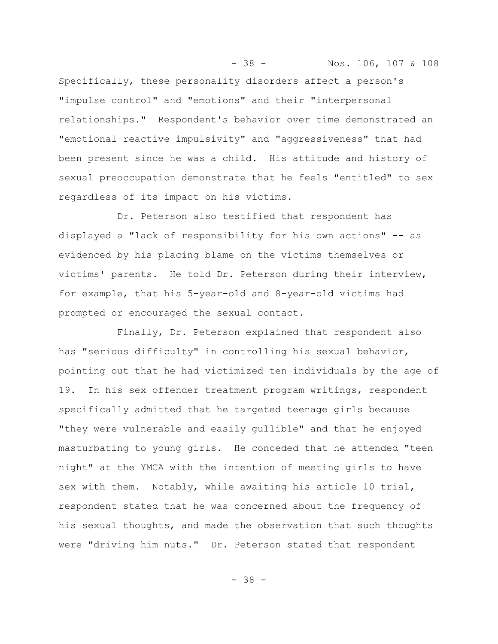Specifically, these personality disorders affect a person's "impulse control" and "emotions" and their "interpersonal relationships." Respondent's behavior over time demonstrated an "emotional reactive impulsivity" and "aggressiveness" that had been present since he was a child. His attitude and history of sexual preoccupation demonstrate that he feels "entitled" to sex regardless of its impact on his victims.

- 38 - Nos. 106, 107 & 108

Dr. Peterson also testified that respondent has displayed a "lack of responsibility for his own actions" -- as evidenced by his placing blame on the victims themselves or victims' parents. He told Dr. Peterson during their interview, for example, that his 5-year-old and 8-year-old victims had prompted or encouraged the sexual contact.

Finally, Dr. Peterson explained that respondent also has "serious difficulty" in controlling his sexual behavior, pointing out that he had victimized ten individuals by the age of 19. In his sex offender treatment program writings, respondent specifically admitted that he targeted teenage girls because "they were vulnerable and easily gullible" and that he enjoyed masturbating to young girls. He conceded that he attended "teen night" at the YMCA with the intention of meeting girls to have sex with them. Notably, while awaiting his article 10 trial, respondent stated that he was concerned about the frequency of his sexual thoughts, and made the observation that such thoughts were "driving him nuts." Dr. Peterson stated that respondent

- 38 -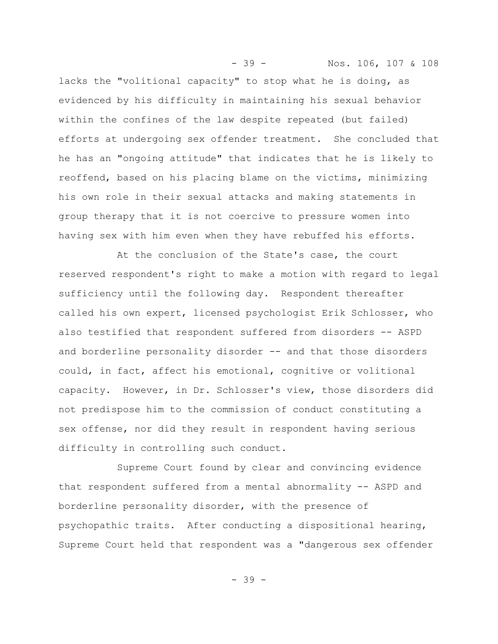lacks the "volitional capacity" to stop what he is doing, as evidenced by his difficulty in maintaining his sexual behavior within the confines of the law despite repeated (but failed) efforts at undergoing sex offender treatment. She concluded that he has an "ongoing attitude" that indicates that he is likely to reoffend, based on his placing blame on the victims, minimizing his own role in their sexual attacks and making statements in group therapy that it is not coercive to pressure women into having sex with him even when they have rebuffed his efforts.

- 39 - Nos. 106, 107 & 108

At the conclusion of the State's case, the court reserved respondent's right to make a motion with regard to legal sufficiency until the following day. Respondent thereafter called his own expert, licensed psychologist Erik Schlosser, who also testified that respondent suffered from disorders -- ASPD and borderline personality disorder -- and that those disorders could, in fact, affect his emotional, cognitive or volitional capacity. However, in Dr. Schlosser's view, those disorders did not predispose him to the commission of conduct constituting a sex offense, nor did they result in respondent having serious difficulty in controlling such conduct.

Supreme Court found by clear and convincing evidence that respondent suffered from a mental abnormality -- ASPD and borderline personality disorder, with the presence of psychopathic traits. After conducting a dispositional hearing, Supreme Court held that respondent was a "dangerous sex offender

- 39 -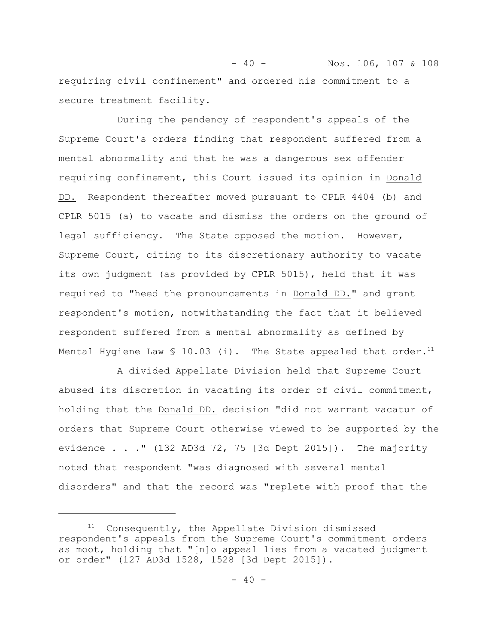- 40 - Nos. 106, 107 & 108 requiring civil confinement" and ordered his commitment to a secure treatment facility.

During the pendency of respondent's appeals of the Supreme Court's orders finding that respondent suffered from a mental abnormality and that he was a dangerous sex offender requiring confinement, this Court issued its opinion in Donald DD. Respondent thereafter moved pursuant to CPLR 4404 (b) and CPLR 5015 (a) to vacate and dismiss the orders on the ground of legal sufficiency. The State opposed the motion. However, Supreme Court, citing to its discretionary authority to vacate its own judgment (as provided by CPLR 5015), held that it was required to "heed the pronouncements in Donald DD." and grant respondent's motion, notwithstanding the fact that it believed respondent suffered from a mental abnormality as defined by Mental Hygiene Law  $\text{\$ }10.03\text{ (i)}$ . The State appealed that order.<sup>11</sup>

A divided Appellate Division held that Supreme Court abused its discretion in vacating its order of civil commitment, holding that the Donald DD. decision "did not warrant vacatur of orders that Supreme Court otherwise viewed to be supported by the evidence . . ." (132 AD3d 72, 75 [3d Dept 2015]). The majority noted that respondent "was diagnosed with several mental disorders" and that the record was "replete with proof that the

<sup>&</sup>lt;sup>11</sup> Consequently, the Appellate Division dismissed respondent's appeals from the Supreme Court's commitment orders as moot, holding that "[n]o appeal lies from a vacated judgment or order" (127 AD3d 1528, 1528 [3d Dept 2015]).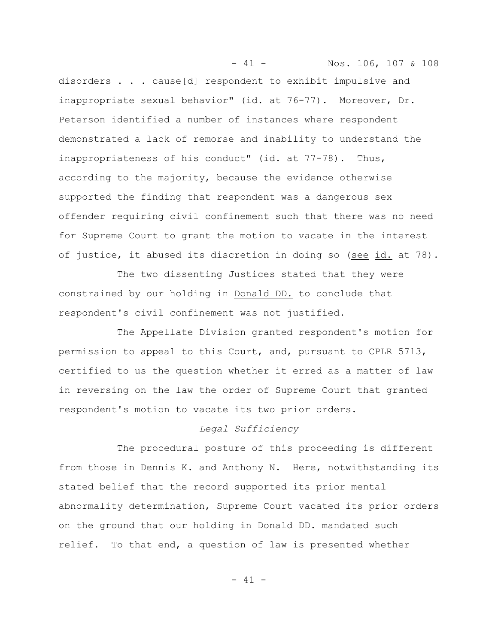- 41 - Nos. 106, 107 & 108 disorders . . . cause[d] respondent to exhibit impulsive and inappropriate sexual behavior" (id. at 76-77). Moreover, Dr. Peterson identified a number of instances where respondent demonstrated a lack of remorse and inability to understand the inappropriateness of his conduct" (id. at 77-78). Thus, according to the majority, because the evidence otherwise supported the finding that respondent was a dangerous sex offender requiring civil confinement such that there was no need for Supreme Court to grant the motion to vacate in the interest of justice, it abused its discretion in doing so (see id. at 78).

The two dissenting Justices stated that they were constrained by our holding in Donald DD. to conclude that respondent's civil confinement was not justified.

The Appellate Division granted respondent's motion for permission to appeal to this Court, and, pursuant to CPLR 5713, certified to us the question whether it erred as a matter of law in reversing on the law the order of Supreme Court that granted respondent's motion to vacate its two prior orders.

# *Legal Sufficiency*

The procedural posture of this proceeding is different from those in Dennis K. and Anthony N. Here, notwithstanding its stated belief that the record supported its prior mental abnormality determination, Supreme Court vacated its prior orders on the ground that our holding in Donald DD. mandated such relief. To that end, a question of law is presented whether

- 41 -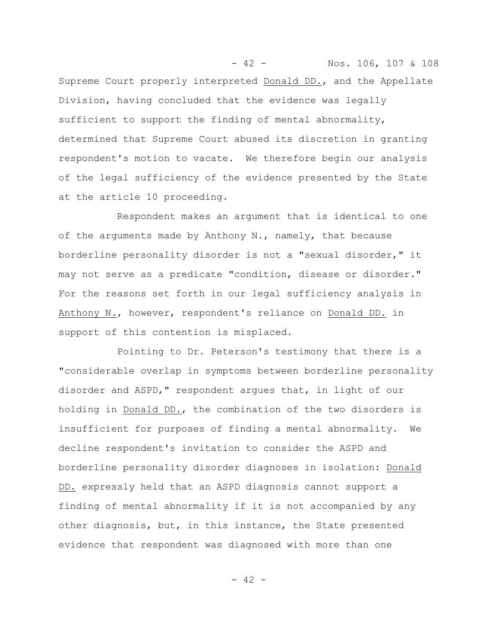- 42 - Nos. 106, 107 & 108 Supreme Court properly interpreted Donald DD., and the Appellate Division, having concluded that the evidence was legally sufficient to support the finding of mental abnormality, determined that Supreme Court abused its discretion in granting respondent's motion to vacate. We therefore begin our analysis of the legal sufficiency of the evidence presented by the State at the article 10 proceeding.

Respondent makes an argument that is identical to one of the arguments made by Anthony N., namely, that because borderline personality disorder is not a "sexual disorder," it may not serve as a predicate "condition, disease or disorder." For the reasons set forth in our legal sufficiency analysis in Anthony N., however, respondent's reliance on Donald DD. in support of this contention is misplaced.

Pointing to Dr. Peterson's testimony that there is a "considerable overlap in symptoms between borderline personality disorder and ASPD," respondent argues that, in light of our holding in Donald DD., the combination of the two disorders is insufficient for purposes of finding a mental abnormality. We decline respondent's invitation to consider the ASPD and borderline personality disorder diagnoses in isolation: Donald DD. expressly held that an ASPD diagnosis cannot support a finding of mental abnormality if it is not accompanied by any other diagnosis, but, in this instance, the State presented evidence that respondent was diagnosed with more than one

- 42 -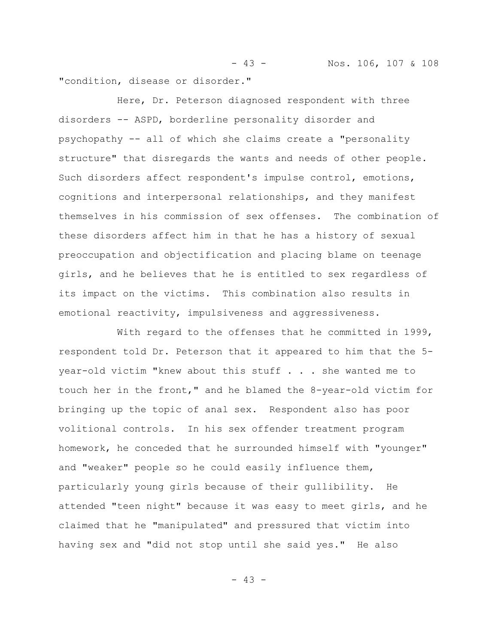- 43 - Nos. 106, 107 & 108 "condition, disease or disorder."

Here, Dr. Peterson diagnosed respondent with three disorders -- ASPD, borderline personality disorder and psychopathy -- all of which she claims create a "personality structure" that disregards the wants and needs of other people. Such disorders affect respondent's impulse control, emotions, cognitions and interpersonal relationships, and they manifest themselves in his commission of sex offenses. The combination of these disorders affect him in that he has a history of sexual preoccupation and objectification and placing blame on teenage girls, and he believes that he is entitled to sex regardless of its impact on the victims. This combination also results in emotional reactivity, impulsiveness and aggressiveness.

With regard to the offenses that he committed in 1999, respondent told Dr. Peterson that it appeared to him that the 5 year-old victim "knew about this stuff . . . she wanted me to touch her in the front," and he blamed the 8-year-old victim for bringing up the topic of anal sex. Respondent also has poor volitional controls. In his sex offender treatment program homework, he conceded that he surrounded himself with "younger" and "weaker" people so he could easily influence them, particularly young girls because of their gullibility. He attended "teen night" because it was easy to meet girls, and he claimed that he "manipulated" and pressured that victim into having sex and "did not stop until she said yes." He also

- 43 -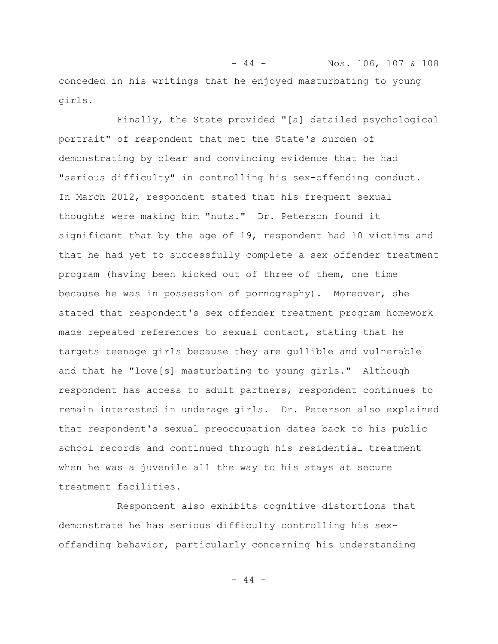- 44 - Nos. 106, 107 & 108 conceded in his writings that he enjoyed masturbating to young girls.

Finally, the State provided "[a] detailed psychological portrait" of respondent that met the State's burden of demonstrating by clear and convincing evidence that he had "serious difficulty" in controlling his sex-offending conduct. In March 2012, respondent stated that his frequent sexual thoughts were making him "nuts." Dr. Peterson found it significant that by the age of 19, respondent had 10 victims and that he had yet to successfully complete a sex offender treatment program (having been kicked out of three of them, one time because he was in possession of pornography). Moreover, she stated that respondent's sex offender treatment program homework made repeated references to sexual contact, stating that he targets teenage girls because they are gullible and vulnerable and that he "love[s] masturbating to young girls." Although respondent has access to adult partners, respondent continues to remain interested in underage girls. Dr. Peterson also explained that respondent's sexual preoccupation dates back to his public school records and continued through his residential treatment when he was a juvenile all the way to his stays at secure treatment facilities.

Respondent also exhibits cognitive distortions that demonstrate he has serious difficulty controlling his sexoffending behavior, particularly concerning his understanding

- 44 -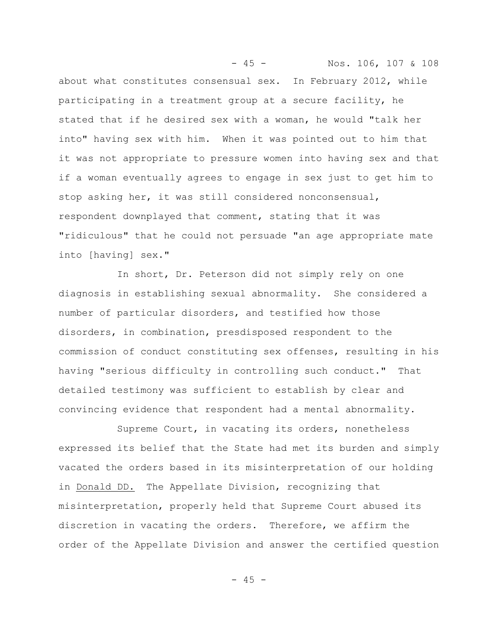- 45 - Nos. 106, 107 & 108 about what constitutes consensual sex. In February 2012, while participating in a treatment group at a secure facility, he stated that if he desired sex with a woman, he would "talk her into" having sex with him. When it was pointed out to him that it was not appropriate to pressure women into having sex and that if a woman eventually agrees to engage in sex just to get him to stop asking her, it was still considered nonconsensual, respondent downplayed that comment, stating that it was "ridiculous" that he could not persuade "an age appropriate mate into [having] sex."

In short, Dr. Peterson did not simply rely on one diagnosis in establishing sexual abnormality. She considered a number of particular disorders, and testified how those disorders, in combination, presdisposed respondent to the commission of conduct constituting sex offenses, resulting in his having "serious difficulty in controlling such conduct." That detailed testimony was sufficient to establish by clear and convincing evidence that respondent had a mental abnormality.

Supreme Court, in vacating its orders, nonetheless expressed its belief that the State had met its burden and simply vacated the orders based in its misinterpretation of our holding in Donald DD. The Appellate Division, recognizing that misinterpretation, properly held that Supreme Court abused its discretion in vacating the orders. Therefore, we affirm the order of the Appellate Division and answer the certified question

 $- 45 -$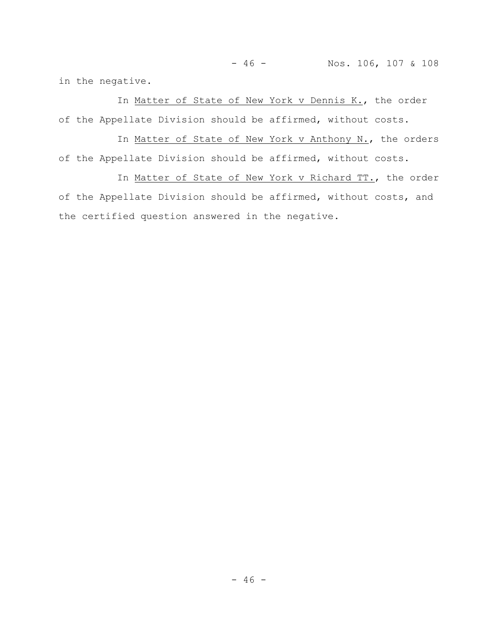- 46 - Nos. 106, 107 & 108

in the negative.

In Matter of State of New York v Dennis K., the order of the Appellate Division should be affirmed, without costs.

In Matter of State of New York v Anthony N., the orders of the Appellate Division should be affirmed, without costs.

In Matter of State of New York v Richard TT., the order of the Appellate Division should be affirmed, without costs, and the certified question answered in the negative.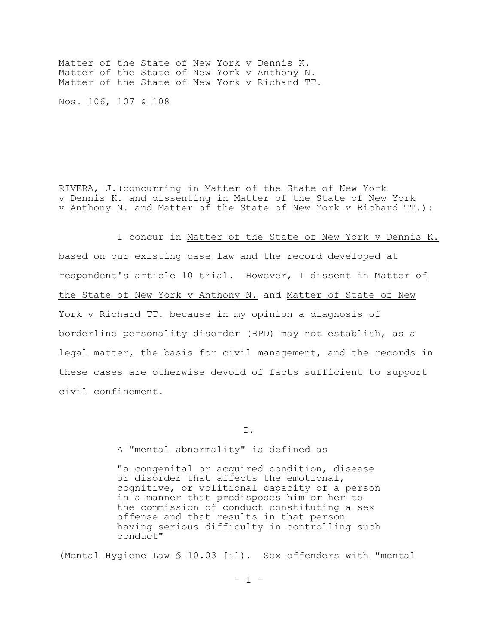Matter of the State of New York v Dennis K. Matter of the State of New York v Anthony N. Matter of the State of New York v Richard TT.

Nos. 106, 107 & 108

RIVERA, J.(concurring in Matter of the State of New York v Dennis K. and dissenting in Matter of the State of New York v Anthony N. and Matter of the State of New York v Richard TT.):

I concur in Matter of the State of New York v Dennis K. based on our existing case law and the record developed at respondent's article 10 trial. However, I dissent in Matter of the State of New York v Anthony N. and Matter of State of New York v Richard TT. because in my opinion a diagnosis of borderline personality disorder (BPD) may not establish, as a legal matter, the basis for civil management, and the records in these cases are otherwise devoid of facts sufficient to support civil confinement.

I.

A "mental abnormality" is defined as

"a congenital or acquired condition, disease or disorder that affects the emotional, cognitive, or volitional capacity of a person in a manner that predisposes him or her to the commission of conduct constituting a sex offense and that results in that person having serious difficulty in controlling such conduct"

(Mental Hygiene Law § 10.03 [i]). Sex offenders with "mental

 $- 1 -$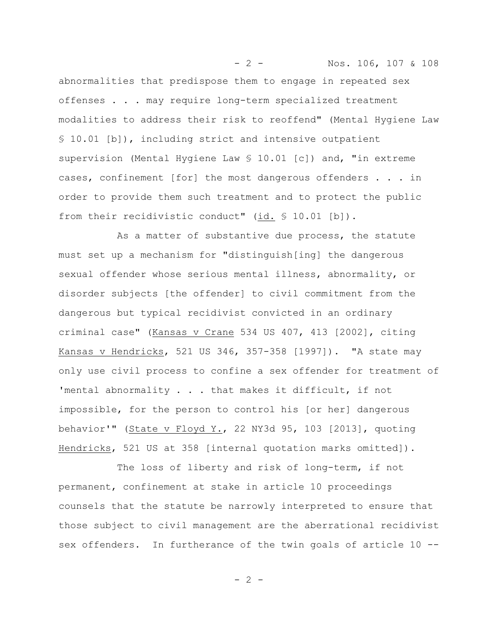abnormalities that predispose them to engage in repeated sex offenses . . . may require long-term specialized treatment modalities to address their risk to reoffend" (Mental Hygiene Law § 10.01 [b]), including strict and intensive outpatient supervision (Mental Hygiene Law § 10.01 [c]) and, "in extreme cases, confinement [for] the most dangerous offenders . . . in order to provide them such treatment and to protect the public from their recidivistic conduct" (id. § 10.01 [b]).

- 2 - Nos. 106, 107 & 108

As a matter of substantive due process, the statute must set up a mechanism for "distinguish[ing] the dangerous sexual offender whose serious mental illness, abnormality, or disorder subjects [the offender] to civil commitment from the dangerous but typical recidivist convicted in an ordinary criminal case" (Kansas v Crane 534 US 407, 413 [2002], citing Kansas v Hendricks, 521 US 346, 357-358 [1997]). "A state may only use civil process to confine a sex offender for treatment of 'mental abnormality . . . that makes it difficult, if not impossible, for the person to control his [or her] dangerous behavior'" (State v Floyd Y., 22 NY3d 95, 103 [2013], quoting Hendricks, 521 US at 358 [internal quotation marks omitted]).

The loss of liberty and risk of long-term, if not permanent, confinement at stake in article 10 proceedings counsels that the statute be narrowly interpreted to ensure that those subject to civil management are the aberrational recidivist sex offenders. In furtherance of the twin goals of article 10 --

 $- 2 -$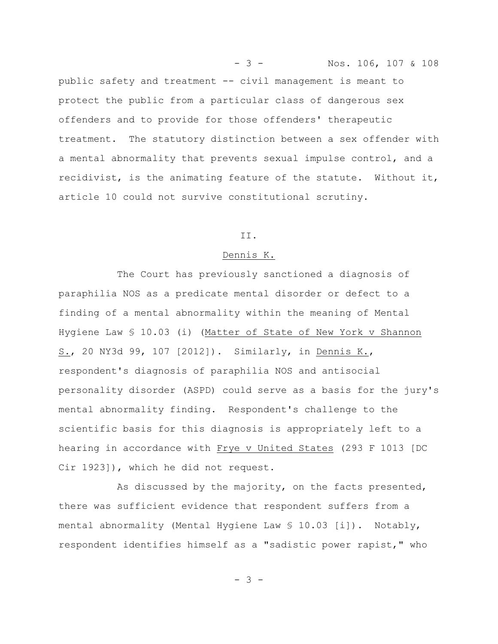public safety and treatment -- civil management is meant to protect the public from a particular class of dangerous sex offenders and to provide for those offenders' therapeutic treatment. The statutory distinction between a sex offender with a mental abnormality that prevents sexual impulse control, and a recidivist, is the animating feature of the statute. Without it, article 10 could not survive constitutional scrutiny.

- 3 - Nos. 106, 107 & 108

### II.

## Dennis K.

The Court has previously sanctioned a diagnosis of paraphilia NOS as a predicate mental disorder or defect to a finding of a mental abnormality within the meaning of Mental Hygiene Law § 10.03 (i) (Matter of State of New York v Shannon S., 20 NY3d 99, 107 [2012]). Similarly, in Dennis K., respondent's diagnosis of paraphilia NOS and antisocial personality disorder (ASPD) could serve as a basis for the jury's mental abnormality finding. Respondent's challenge to the scientific basis for this diagnosis is appropriately left to a hearing in accordance with Frye v United States (293 F 1013 [DC Cir 1923]), which he did not request.

As discussed by the majority, on the facts presented, there was sufficient evidence that respondent suffers from a mental abnormality (Mental Hygiene Law  $\S$  10.03 [i]). Notably, respondent identifies himself as a "sadistic power rapist," who

- 3 -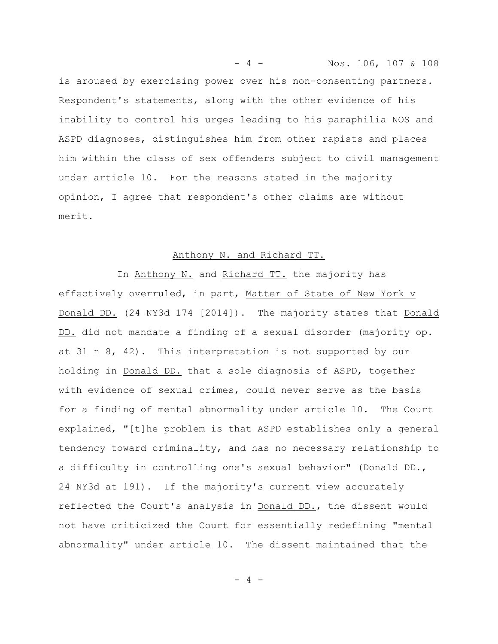is aroused by exercising power over his non-consenting partners. Respondent's statements, along with the other evidence of his inability to control his urges leading to his paraphilia NOS and ASPD diagnoses, distinguishes him from other rapists and places him within the class of sex offenders subject to civil management under article 10. For the reasons stated in the majority opinion, I agree that respondent's other claims are without merit.

- 4 - Nos. 106, 107 & 108

### Anthony N. and Richard TT.

In Anthony N. and Richard TT. the majority has effectively overruled, in part, Matter of State of New York v Donald DD. (24 NY3d 174 [2014]). The majority states that Donald DD. did not mandate a finding of a sexual disorder (majority op. at 31 n 8, 42). This interpretation is not supported by our holding in Donald DD. that a sole diagnosis of ASPD, together with evidence of sexual crimes, could never serve as the basis for a finding of mental abnormality under article 10. The Court explained, "[t]he problem is that ASPD establishes only a general tendency toward criminality, and has no necessary relationship to a difficulty in controlling one's sexual behavior" (Donald DD., 24 NY3d at 191). If the majority's current view accurately reflected the Court's analysis in Donald DD., the dissent would not have criticized the Court for essentially redefining "mental abnormality" under article 10. The dissent maintained that the

 $-4 -$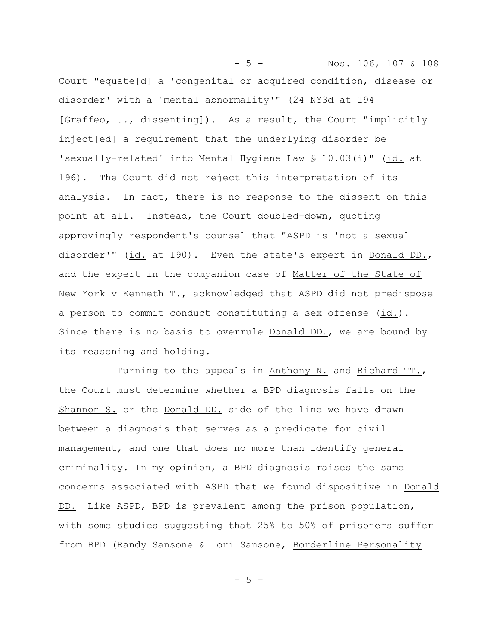- 5 - Nos. 106, 107 & 108 Court "equate[d] a 'congenital or acquired condition, disease or disorder' with a 'mental abnormality'" (24 NY3d at 194 [Graffeo, J., dissenting]). As a result, the Court "implicitly inject[ed] a requirement that the underlying disorder be 'sexually-related' into Mental Hygiene Law § 10.03(i)" (id. at 196). The Court did not reject this interpretation of its analysis. In fact, there is no response to the dissent on this point at all. Instead, the Court doubled-down, quoting approvingly respondent's counsel that "ASPD is 'not a sexual disorder'" (id. at 190). Even the state's expert in Donald DD., and the expert in the companion case of Matter of the State of New York v Kenneth T., acknowledged that ASPD did not predispose a person to commit conduct constituting a sex offense (id.). Since there is no basis to overrule Donald DD., we are bound by its reasoning and holding.

Turning to the appeals in Anthony N. and Richard TT., the Court must determine whether a BPD diagnosis falls on the Shannon S. or the Donald DD. side of the line we have drawn between a diagnosis that serves as a predicate for civil management, and one that does no more than identify general criminality. In my opinion, a BPD diagnosis raises the same concerns associated with ASPD that we found dispositive in Donald DD. Like ASPD, BPD is prevalent among the prison population, with some studies suggesting that 25% to 50% of prisoners suffer from BPD (Randy Sansone & Lori Sansone, Borderline Personality

- 5 -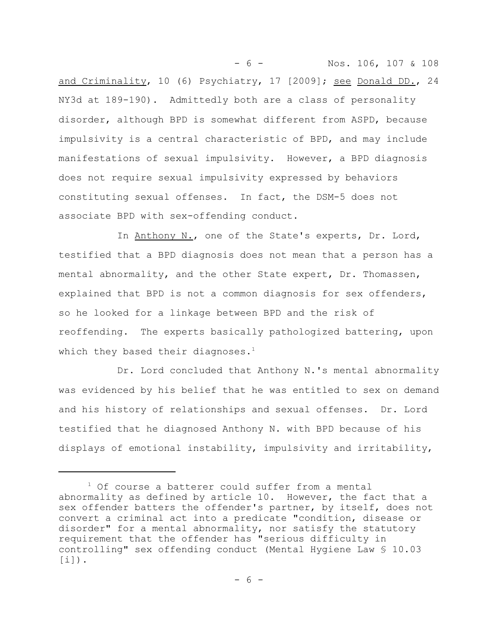- 6 - Nos. 106, 107 & 108 and Criminality, 10 (6) Psychiatry, 17 [2009]; see Donald DD., 24 NY3d at 189-190). Admittedly both are a class of personality disorder, although BPD is somewhat different from ASPD, because impulsivity is a central characteristic of BPD, and may include manifestations of sexual impulsivity. However, a BPD diagnosis does not require sexual impulsivity expressed by behaviors constituting sexual offenses. In fact, the DSM-5 does not associate BPD with sex-offending conduct.

In Anthony N., one of the State's experts, Dr. Lord, testified that a BPD diagnosis does not mean that a person has a mental abnormality, and the other State expert, Dr. Thomassen, explained that BPD is not a common diagnosis for sex offenders, so he looked for a linkage between BPD and the risk of reoffending. The experts basically pathologized battering, upon which they based their diagnoses.<sup>1</sup>

Dr. Lord concluded that Anthony N.'s mental abnormality was evidenced by his belief that he was entitled to sex on demand and his history of relationships and sexual offenses. Dr. Lord testified that he diagnosed Anthony N. with BPD because of his displays of emotional instability, impulsivity and irritability,

<sup>&</sup>lt;sup>1</sup> Of course a batterer could suffer from a mental abnormality as defined by article 10. However, the fact that a sex offender batters the offender's partner, by itself, does not convert a criminal act into a predicate "condition, disease or disorder" for a mental abnormality, nor satisfy the statutory requirement that the offender has "serious difficulty in controlling" sex offending conduct (Mental Hygiene Law § 10.03 [i]).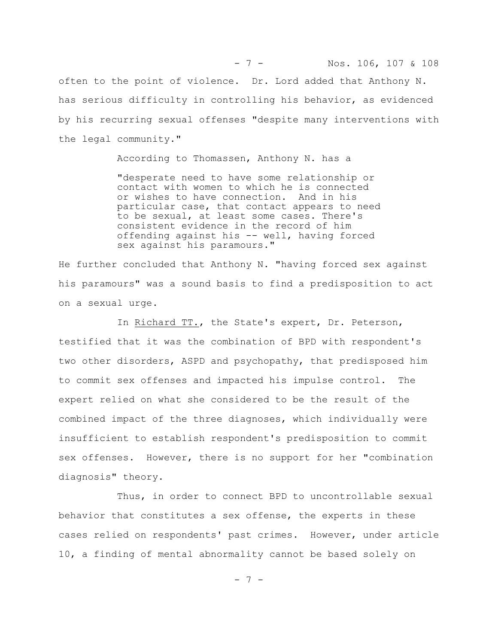often to the point of violence. Dr. Lord added that Anthony N. has serious difficulty in controlling his behavior, as evidenced by his recurring sexual offenses "despite many interventions with the legal community."

- 7 - Nos. 106, 107 & 108

According to Thomassen, Anthony N. has a

"desperate need to have some relationship or contact with women to which he is connected<br>or wishes to have connection. And in his or wishes to have connection. particular case, that contact appears to need to be sexual, at least some cases. There's consistent evidence in the record of him offending against his -- well, having forced sex against his paramours."

He further concluded that Anthony N. "having forced sex against his paramours" was a sound basis to find a predisposition to act on a sexual urge.

In Richard TT., the State's expert, Dr. Peterson, testified that it was the combination of BPD with respondent's two other disorders, ASPD and psychopathy, that predisposed him to commit sex offenses and impacted his impulse control. The expert relied on what she considered to be the result of the combined impact of the three diagnoses, which individually were insufficient to establish respondent's predisposition to commit sex offenses. However, there is no support for her "combination diagnosis" theory.

Thus, in order to connect BPD to uncontrollable sexual behavior that constitutes a sex offense, the experts in these cases relied on respondents' past crimes. However, under article 10, a finding of mental abnormality cannot be based solely on

- 7 -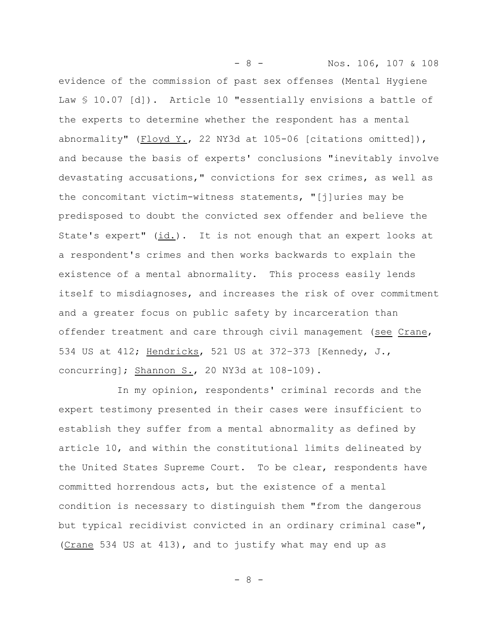- 8 - Nos. 106, 107 & 108 evidence of the commission of past sex offenses (Mental Hygiene Law § 10.07 [d]). Article 10 "essentially envisions a battle of the experts to determine whether the respondent has a mental abnormality" (Floyd Y., 22 NY3d at 105-06 [citations omitted]), and because the basis of experts' conclusions "inevitably involve devastating accusations," convictions for sex crimes, as well as the concomitant victim-witness statements, "[j]uries may be predisposed to doubt the convicted sex offender and believe the State's expert" (id.). It is not enough that an expert looks at a respondent's crimes and then works backwards to explain the existence of a mental abnormality. This process easily lends itself to misdiagnoses, and increases the risk of over commitment and a greater focus on public safety by incarceration than offender treatment and care through civil management (see Crane, 534 US at 412; Hendricks, 521 US at 372–373 [Kennedy, J., concurring]; Shannon S., 20 NY3d at 108-109).

In my opinion, respondents' criminal records and the expert testimony presented in their cases were insufficient to establish they suffer from a mental abnormality as defined by article 10, and within the constitutional limits delineated by the United States Supreme Court. To be clear, respondents have committed horrendous acts, but the existence of a mental condition is necessary to distinguish them "from the dangerous but typical recidivist convicted in an ordinary criminal case", (Crane 534 US at 413), and to justify what may end up as

- 8 -